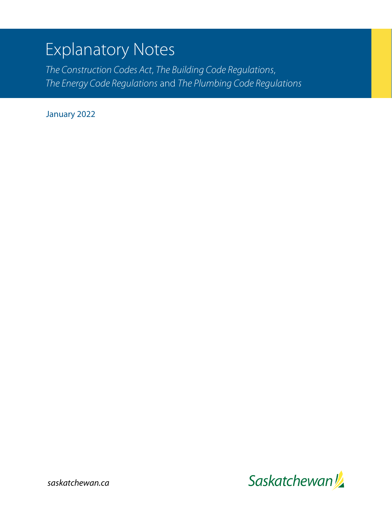# Explanatory Notes

*The Construction Codes Act*, *The Building Code Regulations*, *The Energy Code Regulations* and *The Plumbing Code Regulations*

January 2022

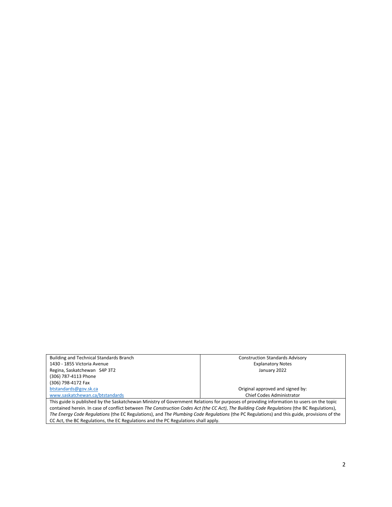| <b>Building and Technical Standards Branch</b>                                                                                             | <b>Construction Standards Advisory</b> |  |
|--------------------------------------------------------------------------------------------------------------------------------------------|----------------------------------------|--|
| 1430 - 1855 Victoria Avenue                                                                                                                | <b>Explanatory Notes</b>               |  |
| Regina, Saskatchewan S4P 3T2                                                                                                               | January 2022                           |  |
| (306) 787-4113 Phone                                                                                                                       |                                        |  |
| (306) 798-4172 Fax                                                                                                                         |                                        |  |
| btstandards@gov.sk.ca                                                                                                                      | Original approved and signed by:       |  |
| www.saskatchewan.ca/btstandards                                                                                                            | Chief Codes Administrator              |  |
| This guide is published by the Saskatchewan Ministry of Government Relations for purposes of providing information to users on the topic   |                                        |  |
| contained herein. In case of conflict between The Construction Codes Act (the CC Act), The Building Code Regulations (the BC Regulations), |                                        |  |
| The Energy Code Regulations (the EC Regulations), and The Plumbing Code Regulations (the PC Regulations) and this guide, provisions of the |                                        |  |
| CC Act, the BC Regulations, the EC Regulations and the PC Regulations shall apply.                                                         |                                        |  |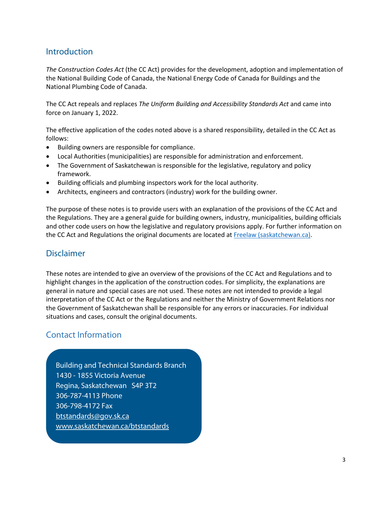### **Introduction**

*The Construction Codes Act* (the CC Act) provides for the development, adoption and implementation of the National Building Code of Canada, the National Energy Code of Canada for Buildings and the National Plumbing Code of Canada.

The CC Act repeals and replaces *The Uniform Building and Accessibility Standards Act* and came into force on January 1, 2022.

The effective application of the codes noted above is a shared responsibility, detailed in the CC Act as follows:

- Building owners are responsible for compliance.
- Local Authorities (municipalities) are responsible for administration and enforcement.
- The Government of Saskatchewan is responsible for the legislative, regulatory and policy framework.
- Building officials and plumbing inspectors work for the local authority.
- Architects, engineers and contractors (industry) work for the building owner.

The purpose of these notes is to provide users with an explanation of the provisions of the CC Act and the Regulations. They are a general guide for building owners, industry, municipalities, building officials and other code users on how the legislative and regulatory provisions apply. For further information on the CC Act and Regulations the original documents are located at [Freelaw \(saskatchewan.ca\).](https://publications.saskatchewan.ca/#/freelaw)

### Disclaimer

These notes are intended to give an overview of the provisions of the CC Act and Regulations and to highlight changes in the application of the construction codes. For simplicity, the explanations are general in nature and special cases are not used. These notes are not intended to provide a legal interpretation of the CC Act or the Regulations and neither the Ministry of Government Relations nor the Government of Saskatchewan shall be responsible for any errors or inaccuracies. For individual situations and cases, consult the original documents.

## Contact Information

Building and Technical Standards Branch 1430 - 1855 Victoria Avenue Regina, Saskatchewan S4P 3T2 306-787-4113 Phone 306-798-4172 Fax [btstandards@gov.sk.ca](mailto:btstandards@gov.sk.ca) [www.saskatchewan.ca/btstandards](http://www.saskatchewan.ca/btstandards)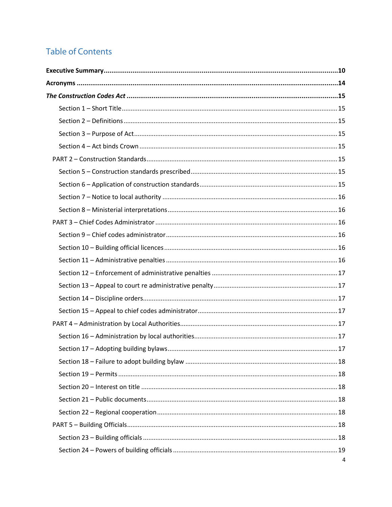## **Table of Contents**

| 4 |
|---|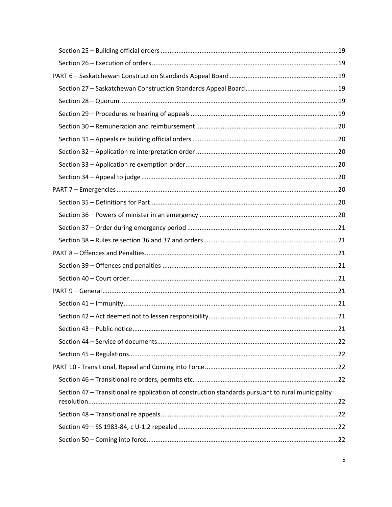| Section 47 - Transitional re application of construction standards pursuant to rural municipality |  |
|---------------------------------------------------------------------------------------------------|--|
|                                                                                                   |  |
|                                                                                                   |  |
|                                                                                                   |  |
|                                                                                                   |  |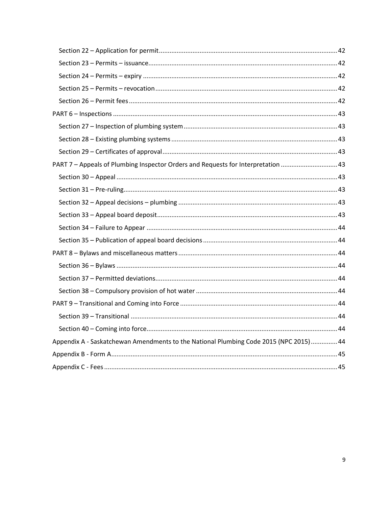<span id="page-8-0"></span>

| PART 7 - Appeals of Plumbing Inspector Orders and Requests for Interpretation 43      |  |
|---------------------------------------------------------------------------------------|--|
|                                                                                       |  |
|                                                                                       |  |
|                                                                                       |  |
|                                                                                       |  |
|                                                                                       |  |
|                                                                                       |  |
|                                                                                       |  |
|                                                                                       |  |
|                                                                                       |  |
|                                                                                       |  |
|                                                                                       |  |
|                                                                                       |  |
|                                                                                       |  |
| Appendix A - Saskatchewan Amendments to the National Plumbing Code 2015 (NPC 2015) 44 |  |
|                                                                                       |  |
|                                                                                       |  |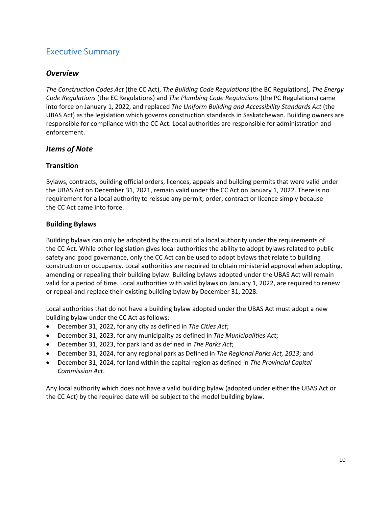## Executive Summary

#### *Overview*

*The Construction Codes Act* (the CC Act), *The Building Code Regulations* (the BC Regulations)*, The Energy Code Regulations* (the EC Regulations) and *The Plumbing Code Regulations* (the PC Regulations) came into force on January 1, 2022, and replaced *The Uniform Building and Accessibility Standards Act* (the UBAS Act) as the legislation which governs construction standards in Saskatchewan. Building owners are responsible for compliance with the CC Act. Local authorities are responsible for administration and enforcement.

#### *Items of Note*

#### **Transition**

Bylaws, contracts, building official orders, licences, appeals and building permits that were valid under the UBAS Act on December 31, 2021, remain valid under the CC Act on January 1, 2022. There is no requirement for a local authority to reissue any permit, order, contract or licence simply because the CC Act came into force.

#### **Building Bylaws**

Building bylaws can only be adopted by the council of a local authority under the requirements of the CC Act. While other legislation gives local authorities the ability to adopt bylaws related to public safety and good governance, only the CC Act can be used to adopt bylaws that relate to building construction or occupancy. Local authorities are required to obtain ministerial approval when adopting, amending or repealing their building bylaw. Building bylaws adopted under the UBAS Act will remain valid for a period of time. Local authorities with valid bylaws on January 1, 2022, are required to renew or repeal-and-replace their existing building bylaw by December 31, 2028.

Local authorities that do not have a building bylaw adopted under the UBAS Act must adopt a new building bylaw under the CC Act as follows:

- December 31, 2022, for any city as defined in *The Cities Act*;
- December 31, 2023, for any municipality as defined in *The Municipalities Act*;
- December 31, 2023, for park land as defined in *The Parks Act*;
- December 31, 2024, for any regional park as Defined in *The Regional Parks Act, 2013*; and
- December 31, 2024, for land within the capital region as defined in *The Provincial Capital Commission Act*.

Any local authority which does not have a valid building bylaw (adopted under either the UBAS Act or the CC Act) by the required date will be subject to the model building bylaw.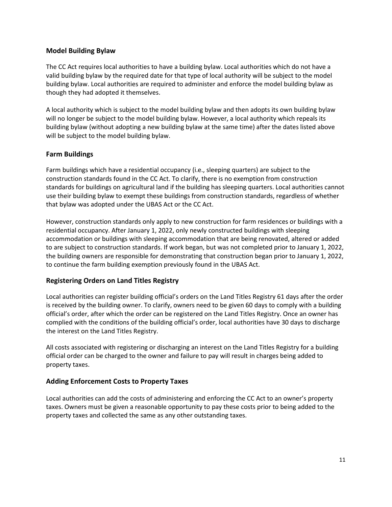#### **Model Building Bylaw**

The CC Act requires local authorities to have a building bylaw. Local authorities which do not have a valid building bylaw by the required date for that type of local authority will be subject to the model building bylaw. Local authorities are required to administer and enforce the model building bylaw as though they had adopted it themselves.

A local authority which is subject to the model building bylaw and then adopts its own building bylaw will no longer be subject to the model building bylaw. However, a local authority which repeals its building bylaw (without adopting a new building bylaw at the same time) after the dates listed above will be subject to the model building bylaw.

#### **Farm Buildings**

Farm buildings which have a residential occupancy (i.e., sleeping quarters) are subject to the construction standards found in the CC Act. To clarify, there is no exemption from construction standards for buildings on agricultural land if the building has sleeping quarters. Local authorities cannot use their building bylaw to exempt these buildings from construction standards, regardless of whether that bylaw was adopted under the UBAS Act or the CC Act.

However, construction standards only apply to new construction for farm residences or buildings with a residential occupancy. After January 1, 2022, only newly constructed buildings with sleeping accommodation or buildings with sleeping accommodation that are being renovated, altered or added to are subject to construction standards. If work began, but was not completed prior to January 1, 2022, the building owners are responsible for demonstrating that construction began prior to January 1, 2022, to continue the farm building exemption previously found in the UBAS Act.

#### **Registering Orders on Land Titles Registry**

Local authorities can register building official's orders on the Land Titles Registry 61 days after the order is received by the building owner. To clarify, owners need to be given 60 days to comply with a building official's order, after which the order can be registered on the Land Titles Registry. Once an owner has complied with the conditions of the building official's order, local authorities have 30 days to discharge the interest on the Land Titles Registry.

All costs associated with registering or discharging an interest on the Land Titles Registry for a building official order can be charged to the owner and failure to pay will result in charges being added to property taxes.

#### **Adding Enforcement Costs to Property Taxes**

Local authorities can add the costs of administering and enforcing the CC Act to an owner's property taxes. Owners must be given a reasonable opportunity to pay these costs prior to being added to the property taxes and collected the same as any other outstanding taxes.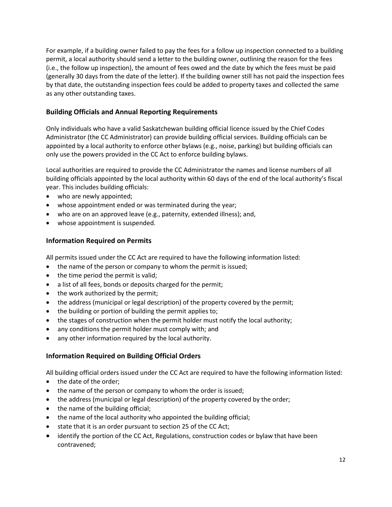For example, if a building owner failed to pay the fees for a follow up inspection connected to a building permit, a local authority should send a letter to the building owner, outlining the reason for the fees (i.e., the follow up inspection), the amount of fees owed and the date by which the fees must be paid (generally 30 days from the date of the letter). If the building owner still has not paid the inspection fees by that date, the outstanding inspection fees could be added to property taxes and collected the same as any other outstanding taxes.

#### **Building Officials and Annual Reporting Requirements**

Only individuals who have a valid Saskatchewan building official licence issued by the Chief Codes Administrator (the CC Administrator) can provide building official services. Building officials can be appointed by a local authority to enforce other bylaws (e.g., noise, parking) but building officials can only use the powers provided in the CC Act to enforce building bylaws.

Local authorities are required to provide the CC Administrator the names and license numbers of all building officials appointed by the local authority within 60 days of the end of the local authority's fiscal year. This includes building officials:

- who are newly appointed;
- whose appointment ended or was terminated during the year;
- who are on an approved leave (e.g., paternity, extended illness); and,
- whose appointment is suspended.

#### **Information Required on Permits**

All permits issued under the CC Act are required to have the following information listed:

- the name of the person or company to whom the permit is issued;
- the time period the permit is valid;
- a list of all fees, bonds or deposits charged for the permit;
- the work authorized by the permit;
- the address (municipal or legal description) of the property covered by the permit;
- the building or portion of building the permit applies to;
- the stages of construction when the permit holder must notify the local authority;
- any conditions the permit holder must comply with; and
- any other information required by the local authority.

#### **Information Required on Building Official Orders**

All building official orders issued under the CC Act are required to have the following information listed:

- the date of the order;
- the name of the person or company to whom the order is issued;
- the address (municipal or legal description) of the property covered by the order;
- the name of the building official;
- the name of the local authority who appointed the building official;
- state that it is an order pursuant to section 25 of the CC Act;
- identify the portion of the CC Act, Regulations, construction codes or bylaw that have been contravened;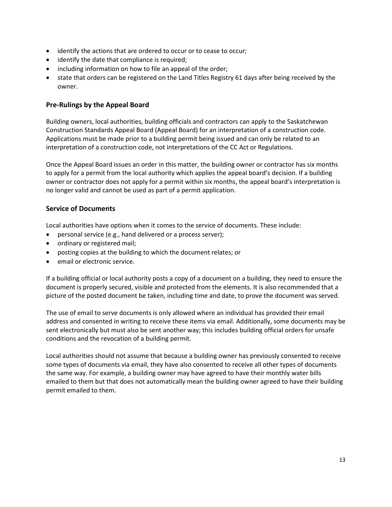- identify the actions that are ordered to occur or to cease to occur;
- identify the date that compliance is required;
- including information on how to file an appeal of the order;
- state that orders can be registered on the Land Titles Registry 61 days after being received by the owner.

#### **Pre-Rulings by the Appeal Board**

Building owners, local authorities, building officials and contractors can apply to the Saskatchewan Construction Standards Appeal Board (Appeal Board) for an interpretation of a construction code. Applications must be made prior to a building permit being issued and can only be related to an interpretation of a construction code, not interpretations of the CC Act or Regulations.

Once the Appeal Board issues an order in this matter, the building owner or contractor has six months to apply for a permit from the local authority which applies the appeal board's decision. If a building owner or contractor does not apply for a permit within six months, the appeal board's interpretation is no longer valid and cannot be used as part of a permit application.

#### **Service of Documents**

Local authorities have options when it comes to the service of documents. These include:

- personal service (e.g., hand delivered or a process server);
- ordinary or registered mail;
- posting copies at the building to which the document relates; or
- email or electronic service.

If a building official or local authority posts a copy of a document on a building, they need to ensure the document is properly secured, visible and protected from the elements. It is also recommended that a picture of the posted document be taken, including time and date, to prove the document was served.

The use of email to serve documents is only allowed where an individual has provided their email address and consented in writing to receive these items via email. Additionally, some documents may be sent electronically but must also be sent another way; this includes building official orders for unsafe conditions and the revocation of a building permit.

Local authorities should not assume that because a building owner has previously consented to receive some types of documents via email, they have also consented to receive all other types of documents the same way. For example, a building owner may have agreed to have their monthly water bills emailed to them but that does not automatically mean the building owner agreed to have their building permit emailed to them.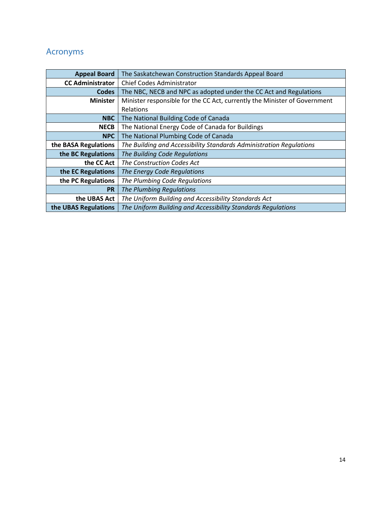## <span id="page-13-0"></span>Acronyms

| <b>Appeal Board</b>     | The Saskatchewan Construction Standards Appeal Board                      |  |
|-------------------------|---------------------------------------------------------------------------|--|
| <b>CC Administrator</b> | <b>Chief Codes Administrator</b>                                          |  |
| <b>Codes</b>            | The NBC, NECB and NPC as adopted under the CC Act and Regulations         |  |
| <b>Minister</b>         | Minister responsible for the CC Act, currently the Minister of Government |  |
|                         | Relations                                                                 |  |
| <b>NBC</b>              | The National Building Code of Canada                                      |  |
| <b>NECB</b>             | The National Energy Code of Canada for Buildings                          |  |
| <b>NPC</b>              | The National Plumbing Code of Canada                                      |  |
| the BASA Regulations    | The Building and Accessibility Standards Administration Regulations       |  |
| the BC Regulations      | The Building Code Regulations                                             |  |
| the CC Act              | The Construction Codes Act                                                |  |
| the EC Regulations      | The Energy Code Regulations                                               |  |
| the PC Regulations      | The Plumbing Code Regulations                                             |  |
| <b>PR</b>               | The Plumbing Regulations                                                  |  |
| the UBAS Act            | The Uniform Building and Accessibility Standards Act                      |  |
| the UBAS Regulations    | The Uniform Building and Accessibility Standards Regulations              |  |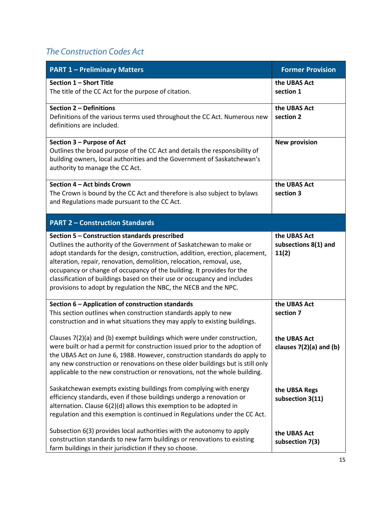## <span id="page-14-0"></span>*The Construction Codes Act*

<span id="page-14-7"></span><span id="page-14-6"></span><span id="page-14-5"></span><span id="page-14-4"></span><span id="page-14-3"></span><span id="page-14-2"></span><span id="page-14-1"></span>

| <b>PART 1 - Preliminary Matters</b>                                                                                                                                                                                                                                                                                                                                                                                                                                                                    | <b>Former Provision</b>                       |
|--------------------------------------------------------------------------------------------------------------------------------------------------------------------------------------------------------------------------------------------------------------------------------------------------------------------------------------------------------------------------------------------------------------------------------------------------------------------------------------------------------|-----------------------------------------------|
| Section 1 - Short Title<br>The title of the CC Act for the purpose of citation.                                                                                                                                                                                                                                                                                                                                                                                                                        | the UBAS Act<br>section 1                     |
| Section 2 - Definitions<br>Definitions of the various terms used throughout the CC Act. Numerous new<br>definitions are included.                                                                                                                                                                                                                                                                                                                                                                      | the UBAS Act<br>section 2                     |
| Section 3 - Purpose of Act<br>Outlines the broad purpose of the CC Act and details the responsibility of<br>building owners, local authorities and the Government of Saskatchewan's<br>authority to manage the CC Act.                                                                                                                                                                                                                                                                                 | <b>New provision</b>                          |
| Section 4 - Act binds Crown<br>The Crown is bound by the CC Act and therefore is also subject to bylaws<br>and Regulations made pursuant to the CC Act.                                                                                                                                                                                                                                                                                                                                                | the UBAS Act<br>section 3                     |
| <b>PART 2 - Construction Standards</b>                                                                                                                                                                                                                                                                                                                                                                                                                                                                 |                                               |
| Section 5 - Construction standards prescribed<br>Outlines the authority of the Government of Saskatchewan to make or<br>adopt standards for the design, construction, addition, erection, placement,<br>alteration, repair, renovation, demolition, relocation, removal, use,<br>occupancy or change of occupancy of the building. It provides for the<br>classification of buildings based on their use or occupancy and includes<br>provisions to adopt by regulation the NBC, the NECB and the NPC. | the UBAS Act<br>subsections 8(1) and<br>11(2) |
| Section 6 - Application of construction standards<br>This section outlines when construction standards apply to new<br>construction and in what situations they may apply to existing buildings.                                                                                                                                                                                                                                                                                                       | the UBAS Act<br>section 7                     |
| Clauses 7(2)(a) and (b) exempt buildings which were under construction,<br>were built or had a permit for construction issued prior to the adoption of<br>the UBAS Act on June 6, 1988. However, construction standards do apply to<br>any new construction or renovations on these older buildings but is still only<br>applicable to the new construction or renovations, not the whole building.                                                                                                    | the UBAS Act<br>clauses $7(2)(a)$ and $(b)$   |
| Saskatchewan exempts existing buildings from complying with energy<br>efficiency standards, even if those buildings undergo a renovation or<br>alternation. Clause 6(2)(d) allows this exemption to be adopted in<br>regulation and this exemption is continued in Regulations under the CC Act.                                                                                                                                                                                                       | the UBSA Regs<br>subsection 3(11)             |
| Subsection 6(3) provides local authorities with the autonomy to apply<br>construction standards to new farm buildings or renovations to existing<br>farm buildings in their jurisdiction if they so choose.                                                                                                                                                                                                                                                                                            | the UBAS Act<br>subsection 7(3)               |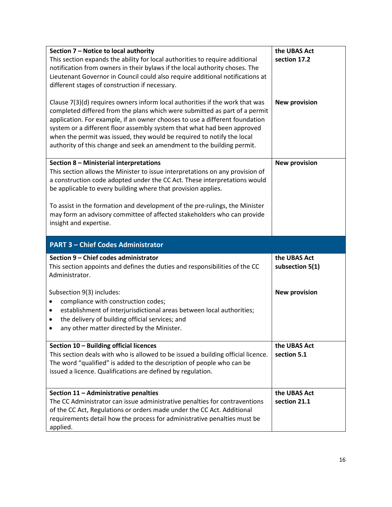<span id="page-15-5"></span><span id="page-15-4"></span><span id="page-15-3"></span><span id="page-15-2"></span><span id="page-15-1"></span><span id="page-15-0"></span>

| Section 7 - Notice to local authority<br>This section expands the ability for local authorities to require additional<br>notification from owners in their bylaws if the local authority choses. The<br>Lieutenant Governor in Council could also require additional notifications at<br>different stages of construction if necessary.<br>Clause 7(3)(d) requires owners inform local authorities if the work that was<br>completed differed from the plans which were submitted as part of a permit<br>application. For example, if an owner chooses to use a different foundation<br>system or a different floor assembly system that what had been approved<br>when the permit was issued, they would be required to notify the local<br>authority of this change and seek an amendment to the building permit. | the UBAS Act<br>section 17.2<br><b>New provision</b> |
|---------------------------------------------------------------------------------------------------------------------------------------------------------------------------------------------------------------------------------------------------------------------------------------------------------------------------------------------------------------------------------------------------------------------------------------------------------------------------------------------------------------------------------------------------------------------------------------------------------------------------------------------------------------------------------------------------------------------------------------------------------------------------------------------------------------------|------------------------------------------------------|
| Section 8 - Ministerial interpretations<br>This section allows the Minister to issue interpretations on any provision of<br>a construction code adopted under the CC Act. These interpretations would<br>be applicable to every building where that provision applies.<br>To assist in the formation and development of the pre-rulings, the Minister<br>may form an advisory committee of affected stakeholders who can provide<br>insight and expertise.                                                                                                                                                                                                                                                                                                                                                          | <b>New provision</b>                                 |
|                                                                                                                                                                                                                                                                                                                                                                                                                                                                                                                                                                                                                                                                                                                                                                                                                     |                                                      |
| <b>PART 3 - Chief Codes Administrator</b>                                                                                                                                                                                                                                                                                                                                                                                                                                                                                                                                                                                                                                                                                                                                                                           |                                                      |
| Section 9 - Chief codes administrator<br>This section appoints and defines the duties and responsibilities of the CC<br>Administrator.                                                                                                                                                                                                                                                                                                                                                                                                                                                                                                                                                                                                                                                                              | the UBAS Act<br>subsection 5(1)                      |
| Subsection 9(3) includes:<br>compliance with construction codes;<br>$\bullet$<br>establishment of interjurisdictional areas between local authorities;<br>٠<br>the delivery of building official services; and<br>٠<br>any other matter directed by the Minister.<br>$\bullet$                                                                                                                                                                                                                                                                                                                                                                                                                                                                                                                                      | <b>New provision</b>                                 |
| Section 10 - Building official licences<br>This section deals with who is allowed to be issued a building official licence.<br>The word "qualified" is added to the description of people who can be<br>issued a licence. Qualifications are defined by regulation.                                                                                                                                                                                                                                                                                                                                                                                                                                                                                                                                                 | the UBAS Act<br>section 5.1                          |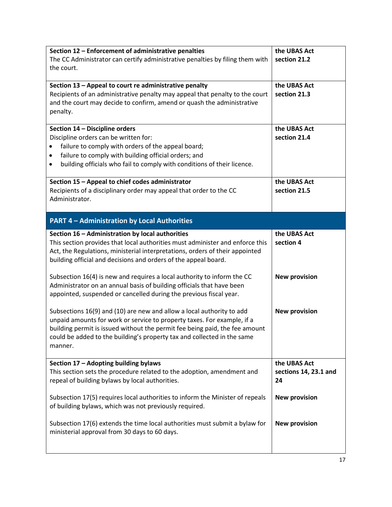<span id="page-16-6"></span><span id="page-16-5"></span><span id="page-16-4"></span><span id="page-16-3"></span><span id="page-16-2"></span><span id="page-16-1"></span><span id="page-16-0"></span>

| Section 12 - Enforcement of administrative penalties                                                                         | the UBAS Act          |
|------------------------------------------------------------------------------------------------------------------------------|-----------------------|
| The CC Administrator can certify administrative penalties by filing them with                                                | section 21.2          |
| the court.                                                                                                                   |                       |
|                                                                                                                              |                       |
| Section 13 - Appeal to court re administrative penalty                                                                       | the UBAS Act          |
| Recipients of an administrative penalty may appeal that penalty to the court                                                 | section 21.3          |
| and the court may decide to confirm, amend or quash the administrative                                                       |                       |
| penalty.                                                                                                                     |                       |
| Section 14 - Discipline orders                                                                                               | the UBAS Act          |
| Discipline orders can be written for:                                                                                        | section 21.4          |
| failure to comply with orders of the appeal board;                                                                           |                       |
| failure to comply with building official orders; and<br>٠                                                                    |                       |
| building officials who fail to comply with conditions of their licence.                                                      |                       |
|                                                                                                                              |                       |
| Section 15 - Appeal to chief codes administrator                                                                             | the UBAS Act          |
| Recipients of a disciplinary order may appeal that order to the CC                                                           | section 21.5          |
| Administrator.                                                                                                               |                       |
|                                                                                                                              |                       |
| <b>PART 4 - Administration by Local Authorities</b>                                                                          |                       |
| Section 16 - Administration by local authorities                                                                             | the UBAS Act          |
| This section provides that local authorities must administer and enforce this                                                | section 4             |
| Act, the Regulations, ministerial interpretations, orders of their appointed                                                 |                       |
| building official and decisions and orders of the appeal board.                                                              |                       |
|                                                                                                                              |                       |
| Subsection 16(4) is new and requires a local authority to inform the CC                                                      | <b>New provision</b>  |
| Administrator on an annual basis of building officials that have been                                                        |                       |
| appointed, suspended or cancelled during the previous fiscal year.                                                           |                       |
| Subsections 16(9) and (10) are new and allow a local authority to add                                                        | <b>New provision</b>  |
| unpaid amounts for work or service to property taxes. For example, if a                                                      |                       |
| building permit is issued without the permit fee being paid, the fee amount                                                  |                       |
| could be added to the building's property tax and collected in the same                                                      |                       |
| manner.                                                                                                                      |                       |
|                                                                                                                              |                       |
| Section 17 - Adopting building bylaws                                                                                        | the UBAS Act          |
| This section sets the procedure related to the adoption, amendment and                                                       | sections 14, 23.1 and |
| repeal of building bylaws by local authorities.                                                                              | 24                    |
|                                                                                                                              |                       |
| Subsection 17(5) requires local authorities to inform the Minister of repeals                                                | <b>New provision</b>  |
| of building bylaws, which was not previously required.                                                                       |                       |
|                                                                                                                              |                       |
| Subsection 17(6) extends the time local authorities must submit a bylaw for<br>ministerial approval from 30 days to 60 days. | <b>New provision</b>  |
|                                                                                                                              |                       |
|                                                                                                                              |                       |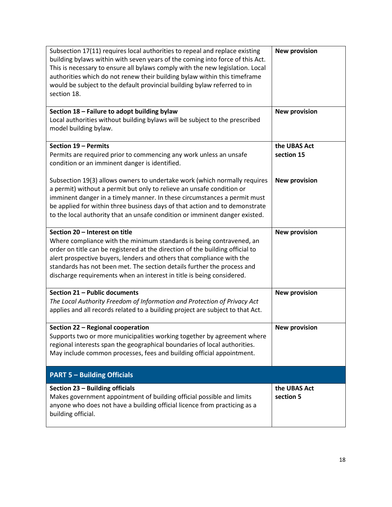<span id="page-17-6"></span><span id="page-17-5"></span><span id="page-17-4"></span><span id="page-17-3"></span><span id="page-17-2"></span><span id="page-17-1"></span><span id="page-17-0"></span>

| Subsection 17(11) requires local authorities to repeal and replace existing<br>building bylaws within with seven years of the coming into force of this Act.<br>This is necessary to ensure all bylaws comply with the new legislation. Local<br>authorities which do not renew their building bylaw within this timeframe<br>would be subject to the default provincial building bylaw referred to in<br>section 18. | <b>New provision</b>       |
|-----------------------------------------------------------------------------------------------------------------------------------------------------------------------------------------------------------------------------------------------------------------------------------------------------------------------------------------------------------------------------------------------------------------------|----------------------------|
| Section 18 - Failure to adopt building bylaw<br>Local authorities without building bylaws will be subject to the prescribed<br>model building bylaw.                                                                                                                                                                                                                                                                  | <b>New provision</b>       |
| Section 19 - Permits<br>Permits are required prior to commencing any work unless an unsafe<br>condition or an imminent danger is identified.                                                                                                                                                                                                                                                                          | the UBAS Act<br>section 15 |
| Subsection 19(3) allows owners to undertake work (which normally requires<br>a permit) without a permit but only to relieve an unsafe condition or<br>imminent danger in a timely manner. In these circumstances a permit must<br>be applied for within three business days of that action and to demonstrate<br>to the local authority that an unsafe condition or imminent danger existed.                          | <b>New provision</b>       |
| Section 20 - Interest on title<br>Where compliance with the minimum standards is being contravened, an<br>order on title can be registered at the direction of the building official to<br>alert prospective buyers, lenders and others that compliance with the<br>standards has not been met. The section details further the process and<br>discharge requirements when an interest in title is being considered.  | <b>New provision</b>       |
| Section 21 - Public documents<br>The Local Authority Freedom of Information and Protection of Privacy Act<br>applies and all records related to a building project are subject to that Act.                                                                                                                                                                                                                           | <b>New provision</b>       |
| Section 22 - Regional cooperation<br>Supports two or more municipalities working together by agreement where<br>regional interests span the geographical boundaries of local authorities.<br>May include common processes, fees and building official appointment.                                                                                                                                                    | <b>New provision</b>       |
| <b>PART 5 - Building Officials</b>                                                                                                                                                                                                                                                                                                                                                                                    |                            |
| Section 23 - Building officials<br>Makes government appointment of building official possible and limits<br>anyone who does not have a building official licence from practicing as a<br>building official.                                                                                                                                                                                                           | the UBAS Act<br>section 5  |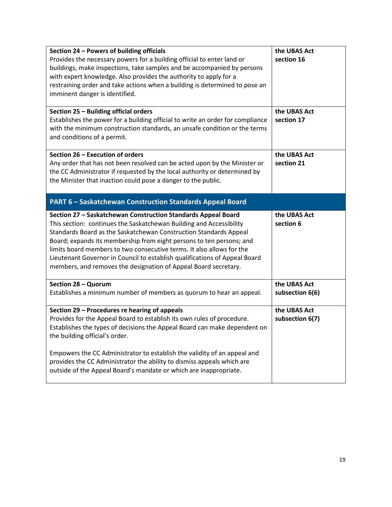<span id="page-18-6"></span><span id="page-18-5"></span><span id="page-18-4"></span><span id="page-18-3"></span><span id="page-18-2"></span><span id="page-18-1"></span><span id="page-18-0"></span>

| Section 24 - Powers of building officials<br>Provides the necessary powers for a building official to enter land or<br>buildings, make inspections, take samples and be accompanied by persons<br>with expert knowledge. Also provides the authority to apply for a<br>restraining order and take actions when a building is determined to pose an<br>imminent danger is identified.                                                                                                                        | the UBAS Act<br>section 16      |
|-------------------------------------------------------------------------------------------------------------------------------------------------------------------------------------------------------------------------------------------------------------------------------------------------------------------------------------------------------------------------------------------------------------------------------------------------------------------------------------------------------------|---------------------------------|
| Section 25 - Building official orders<br>Establishes the power for a building official to write an order for compliance<br>with the minimum construction standards, an unsafe condition or the terms<br>and conditions of a permit.                                                                                                                                                                                                                                                                         | the UBAS Act<br>section 17      |
| Section 26 - Execution of orders<br>Any order that has not been resolved can be acted upon by the Minister or<br>the CC Administrator if requested by the local authority or determined by<br>the Minister that inaction could pose a danger to the public.                                                                                                                                                                                                                                                 | the UBAS Act<br>section 21      |
| <b>PART 6 - Saskatchewan Construction Standards Appeal Board</b>                                                                                                                                                                                                                                                                                                                                                                                                                                            |                                 |
| Section 27 - Saskatchewan Construction Standards Appeal Board<br>This section: continues the Saskatchewan Building and Accessibility<br>Standards Board as the Saskatchewan Construction Standards Appeal<br>Board; expands its membership from eight persons to ten persons; and<br>limits board members to two consecutive terms. It also allows for the<br>Lieutenant Governor in Council to establish qualifications of Appeal Board<br>members, and removes the designation of Appeal Board secretary. | the UBAS Act<br>section 6       |
| Section 28 - Quorum<br>Establishes a minimum number of members as quorum to hear an appeal.                                                                                                                                                                                                                                                                                                                                                                                                                 | the UBAS Act<br>subsection 6(6) |
| Section 29 - Procedures re hearing of appeals<br>Provides for the Appeal Board to establish its own rules of procedure.<br>Establishes the types of decisions the Appeal Board can make dependent on<br>the building official's order.<br>Empowers the CC Administrator to establish the validity of an appeal and<br>provides the CC Administrator the ability to dismiss appeals which are<br>outside of the Appeal Board's mandate or which are inappropriate.                                           | the UBAS Act<br>subsection 6(7) |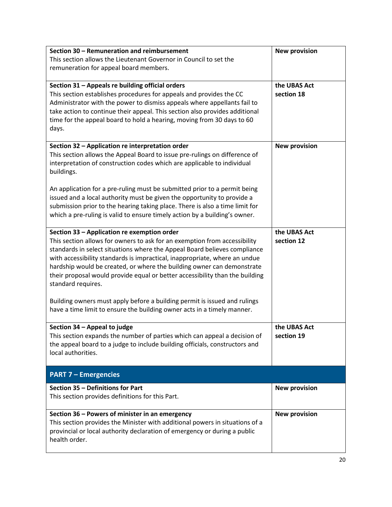<span id="page-19-7"></span><span id="page-19-6"></span><span id="page-19-5"></span><span id="page-19-4"></span><span id="page-19-3"></span><span id="page-19-2"></span><span id="page-19-1"></span><span id="page-19-0"></span>

| Section 30 - Remuneration and reimbursement                                  | <b>New provision</b> |
|------------------------------------------------------------------------------|----------------------|
| This section allows the Lieutenant Governor in Council to set the            |                      |
| remuneration for appeal board members.                                       |                      |
|                                                                              |                      |
| Section 31 - Appeals re building official orders                             | the UBAS Act         |
| This section establishes procedures for appeals and provides the CC          | section 18           |
| Administrator with the power to dismiss appeals where appellants fail to     |                      |
| take action to continue their appeal. This section also provides additional  |                      |
| time for the appeal board to hold a hearing, moving from 30 days to 60       |                      |
| days.                                                                        |                      |
|                                                                              |                      |
| Section 32 - Application re interpretation order                             | <b>New provision</b> |
| This section allows the Appeal Board to issue pre-rulings on difference of   |                      |
| interpretation of construction codes which are applicable to individual      |                      |
| buildings.                                                                   |                      |
|                                                                              |                      |
| An application for a pre-ruling must be submitted prior to a permit being    |                      |
| issued and a local authority must be given the opportunity to provide a      |                      |
| submission prior to the hearing taking place. There is also a time limit for |                      |
| which a pre-ruling is valid to ensure timely action by a building's owner.   |                      |
|                                                                              |                      |
| Section 33 - Application re exemption order                                  | the UBAS Act         |
| This section allows for owners to ask for an exemption from accessibility    | section 12           |
| standards in select situations where the Appeal Board believes compliance    |                      |
| with accessibility standards is impractical, inappropriate, where an undue   |                      |
| hardship would be created, or where the building owner can demonstrate       |                      |
| their proposal would provide equal or better accessibility than the building |                      |
| standard requires.                                                           |                      |
| Building owners must apply before a building permit is issued and rulings    |                      |
| have a time limit to ensure the building owner acts in a timely manner.      |                      |
|                                                                              |                      |
| Section 34 - Appeal to judge                                                 | the UBAS Act         |
| This section expands the number of parties which can appeal a decision of    | section 19           |
| the appeal board to a judge to include building officials, constructors and  |                      |
| local authorities.                                                           |                      |
|                                                                              |                      |
| <b>PART 7 - Emergencies</b>                                                  |                      |
| Section 35 - Definitions for Part                                            | <b>New provision</b> |
| This section provides definitions for this Part.                             |                      |
|                                                                              |                      |
| Section 36 - Powers of minister in an emergency                              | <b>New provision</b> |
| This section provides the Minister with additional powers in situations of a |                      |
| provincial or local authority declaration of emergency or during a public    |                      |
| health order.                                                                |                      |
|                                                                              |                      |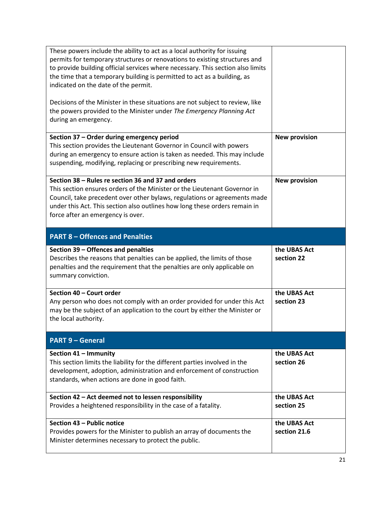<span id="page-20-8"></span><span id="page-20-7"></span><span id="page-20-6"></span><span id="page-20-5"></span><span id="page-20-4"></span><span id="page-20-3"></span><span id="page-20-2"></span><span id="page-20-1"></span><span id="page-20-0"></span>

| These powers include the ability to act as a local authority for issuing<br>permits for temporary structures or renovations to existing structures and<br>to provide building official services where necessary. This section also limits<br>the time that a temporary building is permitted to act as a building, as<br>indicated on the date of the permit.<br>Decisions of the Minister in these situations are not subject to review, like<br>the powers provided to the Minister under The Emergency Planning Act<br>during an emergency. |                              |
|------------------------------------------------------------------------------------------------------------------------------------------------------------------------------------------------------------------------------------------------------------------------------------------------------------------------------------------------------------------------------------------------------------------------------------------------------------------------------------------------------------------------------------------------|------------------------------|
| Section 37 - Order during emergency period<br>This section provides the Lieutenant Governor in Council with powers<br>during an emergency to ensure action is taken as needed. This may include<br>suspending, modifying, replacing or prescribing new requirements.                                                                                                                                                                                                                                                                           | <b>New provision</b>         |
| Section 38 - Rules re section 36 and 37 and orders<br>This section ensures orders of the Minister or the Lieutenant Governor in<br>Council, take precedent over other bylaws, regulations or agreements made<br>under this Act. This section also outlines how long these orders remain in<br>force after an emergency is over.                                                                                                                                                                                                                | <b>New provision</b>         |
| <b>PART 8 - Offences and Penalties</b>                                                                                                                                                                                                                                                                                                                                                                                                                                                                                                         |                              |
| Section 39 - Offences and penalties<br>Describes the reasons that penalties can be applied, the limits of those<br>penalties and the requirement that the penalties are only applicable on<br>summary conviction.                                                                                                                                                                                                                                                                                                                              | the UBAS Act<br>section 22   |
| Section 40 - Court order<br>Any person who does not comply with an order provided for under this Act<br>may be the subject of an application to the court by either the Minister or<br>the local authority.                                                                                                                                                                                                                                                                                                                                    | the UBAS Act<br>section 23   |
| <b>PART 9 - General</b>                                                                                                                                                                                                                                                                                                                                                                                                                                                                                                                        |                              |
| Section 41 - Immunity<br>This section limits the liability for the different parties involved in the<br>development, adoption, administration and enforcement of construction<br>standards, when actions are done in good faith.                                                                                                                                                                                                                                                                                                               | the UBAS Act<br>section 26   |
| Section 42 - Act deemed not to lessen responsibility<br>Provides a heightened responsibility in the case of a fatality.                                                                                                                                                                                                                                                                                                                                                                                                                        | the UBAS Act<br>section 25   |
| Section 43 - Public notice<br>Provides powers for the Minister to publish an array of documents the<br>Minister determines necessary to protect the public.                                                                                                                                                                                                                                                                                                                                                                                    | the UBAS Act<br>section 21.6 |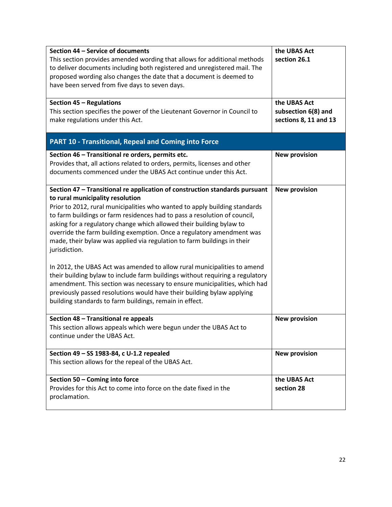<span id="page-21-7"></span><span id="page-21-6"></span><span id="page-21-5"></span><span id="page-21-4"></span><span id="page-21-3"></span><span id="page-21-2"></span><span id="page-21-1"></span><span id="page-21-0"></span>

| Section 44 - Service of documents<br>This section provides amended wording that allows for additional methods<br>to deliver documents including both registered and unregistered mail. The<br>proposed wording also changes the date that a document is deemed to<br>have been served from five days to seven days.                                                                                                                                                                                                                                                                                                                                                                                                                                                                                                                                                                                    | the UBAS Act<br>section 26.1                                 |
|--------------------------------------------------------------------------------------------------------------------------------------------------------------------------------------------------------------------------------------------------------------------------------------------------------------------------------------------------------------------------------------------------------------------------------------------------------------------------------------------------------------------------------------------------------------------------------------------------------------------------------------------------------------------------------------------------------------------------------------------------------------------------------------------------------------------------------------------------------------------------------------------------------|--------------------------------------------------------------|
| Section 45 - Regulations<br>This section specifies the power of the Lieutenant Governor in Council to<br>make regulations under this Act.                                                                                                                                                                                                                                                                                                                                                                                                                                                                                                                                                                                                                                                                                                                                                              | the UBAS Act<br>subsection 6(8) and<br>sections 8, 11 and 13 |
| <b>PART 10 - Transitional, Repeal and Coming into Force</b>                                                                                                                                                                                                                                                                                                                                                                                                                                                                                                                                                                                                                                                                                                                                                                                                                                            |                                                              |
| Section 46 - Transitional re orders, permits etc.<br>Provides that, all actions related to orders, permits, licenses and other<br>documents commenced under the UBAS Act continue under this Act.                                                                                                                                                                                                                                                                                                                                                                                                                                                                                                                                                                                                                                                                                                      | <b>New provision</b>                                         |
| Section 47 - Transitional re application of construction standards pursuant<br>to rural municipality resolution<br>Prior to 2012, rural municipalities who wanted to apply building standards<br>to farm buildings or farm residences had to pass a resolution of council,<br>asking for a regulatory change which allowed their building bylaw to<br>override the farm building exemption. Once a regulatory amendment was<br>made, their bylaw was applied via regulation to farm buildings in their<br>jurisdiction.<br>In 2012, the UBAS Act was amended to allow rural municipalities to amend<br>their building bylaw to include farm buildings without requiring a regulatory<br>amendment. This section was necessary to ensure municipalities, which had<br>previously passed resolutions would have their building bylaw applying<br>building standards to farm buildings, remain in effect. | <b>New provision</b>                                         |
| Section 48 - Transitional re appeals<br>This section allows appeals which were begun under the UBAS Act to<br>continue under the UBAS Act.                                                                                                                                                                                                                                                                                                                                                                                                                                                                                                                                                                                                                                                                                                                                                             | <b>New provision</b>                                         |
| Section 49 - SS 1983-84, c U-1.2 repealed<br>This section allows for the repeal of the UBAS Act.                                                                                                                                                                                                                                                                                                                                                                                                                                                                                                                                                                                                                                                                                                                                                                                                       | <b>New provision</b>                                         |
| Section 50 - Coming into force<br>Provides for this Act to come into force on the date fixed in the<br>proclamation.                                                                                                                                                                                                                                                                                                                                                                                                                                                                                                                                                                                                                                                                                                                                                                                   | the UBAS Act<br>section 28                                   |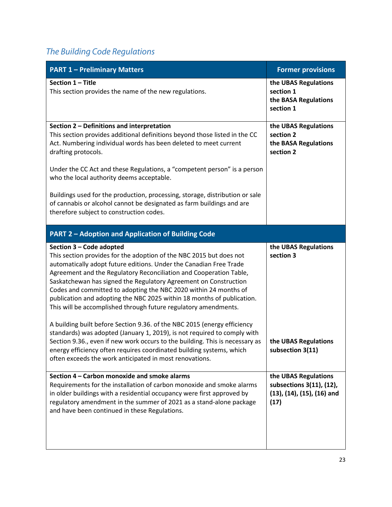## <span id="page-22-0"></span>*The Building Code Regulations*

<span id="page-22-6"></span><span id="page-22-5"></span><span id="page-22-4"></span><span id="page-22-3"></span><span id="page-22-2"></span><span id="page-22-1"></span>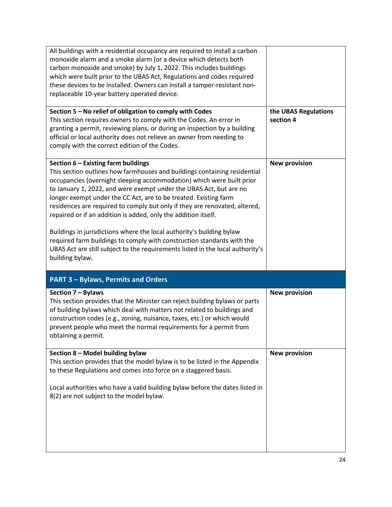<span id="page-23-4"></span><span id="page-23-3"></span><span id="page-23-2"></span><span id="page-23-1"></span><span id="page-23-0"></span>

| All buildings with a residential occupancy are required to install a carbon<br>monoxide alarm and a smoke alarm (or a device which detects both<br>carbon monoxide and smoke) by July 1, 2022. This includes buildings<br>which were built prior to the UBAS Act, Regulations and codes required<br>these devices to be installed. Owners can install a tamper-resistant non-<br>replaceable 10-year battery operated device.                                                                                                                                                                                                                                                                                                               |                                   |
|---------------------------------------------------------------------------------------------------------------------------------------------------------------------------------------------------------------------------------------------------------------------------------------------------------------------------------------------------------------------------------------------------------------------------------------------------------------------------------------------------------------------------------------------------------------------------------------------------------------------------------------------------------------------------------------------------------------------------------------------|-----------------------------------|
| Section 5 - No relief of obligation to comply with Codes<br>This section requires owners to comply with the Codes. An error in<br>granting a permit, reviewing plans, or during an inspection by a building<br>official or local authority does not relieve an owner from needing to<br>comply with the correct edition of the Codes.                                                                                                                                                                                                                                                                                                                                                                                                       | the UBAS Regulations<br>section 4 |
| Section 6 - Existing farm buildings<br>This section outlines how farmhouses and buildings containing residential<br>occupancies (overnight sleeping accommodation) which were built prior<br>to January 1, 2022, and were exempt under the UBAS Act, but are no<br>longer exempt under the CC Act, are to be treated. Existing farm<br>residences are required to comply but only if they are renovated, altered,<br>repaired or if an addition is added, only the addition itself.<br>Buildings in jurisdictions where the local authority's building bylaw<br>required farm buildings to comply with construction standards with the<br>UBAS Act are still subject to the requirements listed in the local authority's<br>building bylaw. | <b>New provision</b>              |
| <b>PART 3 - Bylaws, Permits and Orders</b>                                                                                                                                                                                                                                                                                                                                                                                                                                                                                                                                                                                                                                                                                                  |                                   |
| Section 7 - Bylaws<br>This section provides that the Minister can reject building bylaws or parts<br>of building bylaws which deal with matters not related to buildings and<br>construction codes (e.g., zoning, nuisance, taxes, etc.) or which would<br>prevent people who meet the normal requirements for a permit from<br>obtaining a permit.                                                                                                                                                                                                                                                                                                                                                                                         | <b>New provision</b>              |
| Section 8 - Model building bylaw<br>This section provides that the model bylaw is to be listed in the Appendix<br>to these Regulations and comes into force on a staggered basis.<br>Local authorities who have a valid building bylaw before the dates listed in<br>8(2) are not subject to the model bylaw.                                                                                                                                                                                                                                                                                                                                                                                                                               | <b>New provision</b>              |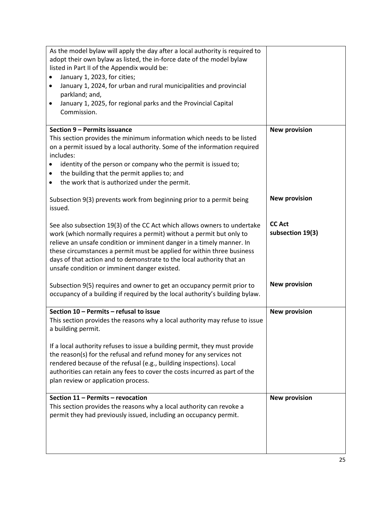<span id="page-24-1"></span><span id="page-24-0"></span>

| As the model bylaw will apply the day after a local authority is required to<br>adopt their own bylaw as listed, the in-force date of the model bylaw                                                                                                                                                                                                                                                                        |                                   |
|------------------------------------------------------------------------------------------------------------------------------------------------------------------------------------------------------------------------------------------------------------------------------------------------------------------------------------------------------------------------------------------------------------------------------|-----------------------------------|
| listed in Part II of the Appendix would be:                                                                                                                                                                                                                                                                                                                                                                                  |                                   |
| January 1, 2023, for cities;                                                                                                                                                                                                                                                                                                                                                                                                 |                                   |
| January 1, 2024, for urban and rural municipalities and provincial<br>$\bullet$                                                                                                                                                                                                                                                                                                                                              |                                   |
| parkland; and,                                                                                                                                                                                                                                                                                                                                                                                                               |                                   |
| January 1, 2025, for regional parks and the Provincial Capital<br>٠                                                                                                                                                                                                                                                                                                                                                          |                                   |
| Commission.                                                                                                                                                                                                                                                                                                                                                                                                                  |                                   |
|                                                                                                                                                                                                                                                                                                                                                                                                                              |                                   |
| Section 9 - Permits issuance                                                                                                                                                                                                                                                                                                                                                                                                 | <b>New provision</b>              |
| This section provides the minimum information which needs to be listed                                                                                                                                                                                                                                                                                                                                                       |                                   |
| on a permit issued by a local authority. Some of the information required<br>includes:                                                                                                                                                                                                                                                                                                                                       |                                   |
| identity of the person or company who the permit is issued to;                                                                                                                                                                                                                                                                                                                                                               |                                   |
| the building that the permit applies to; and<br>٠                                                                                                                                                                                                                                                                                                                                                                            |                                   |
| the work that is authorized under the permit.<br>٠                                                                                                                                                                                                                                                                                                                                                                           |                                   |
|                                                                                                                                                                                                                                                                                                                                                                                                                              |                                   |
| Subsection 9(3) prevents work from beginning prior to a permit being<br>issued.                                                                                                                                                                                                                                                                                                                                              | <b>New provision</b>              |
| See also subsection 19(3) of the CC Act which allows owners to undertake<br>work (which normally requires a permit) without a permit but only to<br>relieve an unsafe condition or imminent danger in a timely manner. In<br>these circumstances a permit must be applied for within three business<br>days of that action and to demonstrate to the local authority that an<br>unsafe condition or imminent danger existed. | <b>CC Act</b><br>subsection 19(3) |
| Subsection 9(5) requires and owner to get an occupancy permit prior to<br>occupancy of a building if required by the local authority's building bylaw.                                                                                                                                                                                                                                                                       | <b>New provision</b>              |
| Section 10 - Permits - refusal to issue<br>This section provides the reasons why a local authority may refuse to issue<br>a building permit.                                                                                                                                                                                                                                                                                 | <b>New provision</b>              |
| If a local authority refuses to issue a building permit, they must provide<br>the reason(s) for the refusal and refund money for any services not<br>rendered because of the refusal (e.g., building inspections). Local<br>authorities can retain any fees to cover the costs incurred as part of the<br>plan review or application process.                                                                                |                                   |
| Section 11 - Permits - revocation                                                                                                                                                                                                                                                                                                                                                                                            | <b>New provision</b>              |
| This section provides the reasons why a local authority can revoke a<br>permit they had previously issued, including an occupancy permit.                                                                                                                                                                                                                                                                                    |                                   |
|                                                                                                                                                                                                                                                                                                                                                                                                                              |                                   |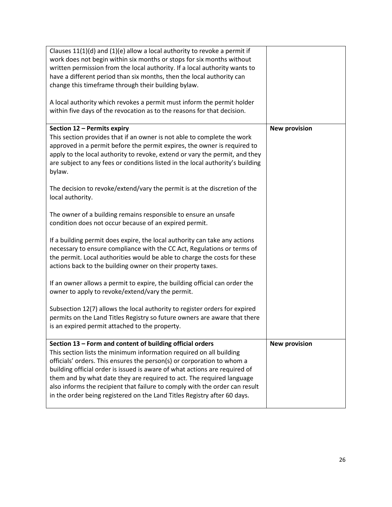<span id="page-25-1"></span><span id="page-25-0"></span>

| Clauses 11(1)(d) and (1)(e) allow a local authority to revoke a permit if<br>work does not begin within six months or stops for six months without<br>written permission from the local authority. If a local authority wants to<br>have a different period than six months, then the local authority can<br>change this timeframe through their building bylaw.                                                                                                                                                             |                      |
|------------------------------------------------------------------------------------------------------------------------------------------------------------------------------------------------------------------------------------------------------------------------------------------------------------------------------------------------------------------------------------------------------------------------------------------------------------------------------------------------------------------------------|----------------------|
| A local authority which revokes a permit must inform the permit holder<br>within five days of the revocation as to the reasons for that decision.                                                                                                                                                                                                                                                                                                                                                                            |                      |
| Section 12 - Permits expiry<br>This section provides that if an owner is not able to complete the work<br>approved in a permit before the permit expires, the owner is required to<br>apply to the local authority to revoke, extend or vary the permit, and they<br>are subject to any fees or conditions listed in the local authority's building<br>bylaw.                                                                                                                                                                | <b>New provision</b> |
| The decision to revoke/extend/vary the permit is at the discretion of the<br>local authority.<br>The owner of a building remains responsible to ensure an unsafe                                                                                                                                                                                                                                                                                                                                                             |                      |
| condition does not occur because of an expired permit.<br>If a building permit does expire, the local authority can take any actions                                                                                                                                                                                                                                                                                                                                                                                         |                      |
| necessary to ensure compliance with the CC Act, Regulations or terms of<br>the permit. Local authorities would be able to charge the costs for these<br>actions back to the building owner on their property taxes.                                                                                                                                                                                                                                                                                                          |                      |
| If an owner allows a permit to expire, the building official can order the<br>owner to apply to revoke/extend/vary the permit.                                                                                                                                                                                                                                                                                                                                                                                               |                      |
| Subsection 12(7) allows the local authority to register orders for expired<br>permits on the Land Titles Registry so future owners are aware that there<br>is an expired permit attached to the property.                                                                                                                                                                                                                                                                                                                    |                      |
| Section 13 - Form and content of building official orders<br>This section lists the minimum information required on all building<br>officials' orders. This ensures the person(s) or corporation to whom a<br>building official order is issued is aware of what actions are required of<br>them and by what date they are required to act. The required language<br>also informs the recipient that failure to comply with the order can result<br>in the order being registered on the Land Titles Registry after 60 days. | <b>New provision</b> |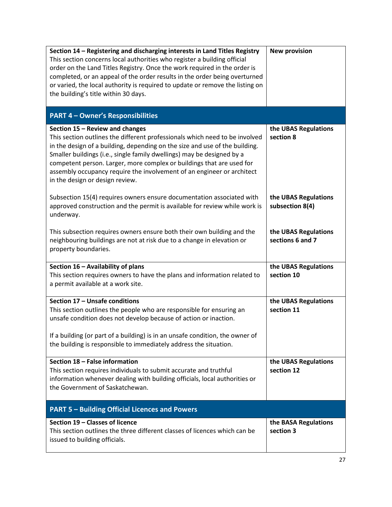<span id="page-26-7"></span><span id="page-26-6"></span><span id="page-26-5"></span><span id="page-26-4"></span><span id="page-26-3"></span><span id="page-26-2"></span><span id="page-26-1"></span><span id="page-26-0"></span>

| Section 14 - Registering and discharging interests in Land Titles Registry<br>This section concerns local authorities who register a building official<br>order on the Land Titles Registry. Once the work required in the order is<br>completed, or an appeal of the order results in the order being overturned<br>or varied, the local authority is required to update or remove the listing on<br>the building's title within 30 days.                    | <b>New provision</b>                     |
|---------------------------------------------------------------------------------------------------------------------------------------------------------------------------------------------------------------------------------------------------------------------------------------------------------------------------------------------------------------------------------------------------------------------------------------------------------------|------------------------------------------|
| <b>PART 4 - Owner's Responsibilities</b>                                                                                                                                                                                                                                                                                                                                                                                                                      |                                          |
| Section 15 - Review and changes<br>This section outlines the different professionals which need to be involved<br>in the design of a building, depending on the size and use of the building.<br>Smaller buildings (i.e., single family dwellings) may be designed by a<br>competent person. Larger, more complex or buildings that are used for<br>assembly occupancy require the involvement of an engineer or architect<br>in the design or design review. | the UBAS Regulations<br>section 8        |
| Subsection 15(4) requires owners ensure documentation associated with<br>approved construction and the permit is available for review while work is<br>underway.                                                                                                                                                                                                                                                                                              | the UBAS Regulations<br>subsection 8(4)  |
| This subsection requires owners ensure both their own building and the<br>neighbouring buildings are not at risk due to a change in elevation or<br>property boundaries.                                                                                                                                                                                                                                                                                      | the UBAS Regulations<br>sections 6 and 7 |
| Section 16 - Availability of plans<br>This section requires owners to have the plans and information related to<br>a permit available at a work site.                                                                                                                                                                                                                                                                                                         | the UBAS Regulations<br>section 10       |
| Section 17 - Unsafe conditions<br>This section outlines the people who are responsible for ensuring an<br>unsafe condition does not develop because of action or inaction.<br>If a building (or part of a building) is in an unsafe condition, the owner of<br>the building is responsible to immediately address the situation.                                                                                                                              | the UBAS Regulations<br>section 11       |
| Section 18 - False information<br>This section requires individuals to submit accurate and truthful<br>information whenever dealing with building officials, local authorities or<br>the Government of Saskatchewan.                                                                                                                                                                                                                                          | the UBAS Regulations<br>section 12       |
| <b>PART 5 - Building Official Licences and Powers</b>                                                                                                                                                                                                                                                                                                                                                                                                         |                                          |
| Section 19 - Classes of licence<br>This section outlines the three different classes of licences which can be<br>issued to building officials.                                                                                                                                                                                                                                                                                                                | the BASA Regulations<br>section 3        |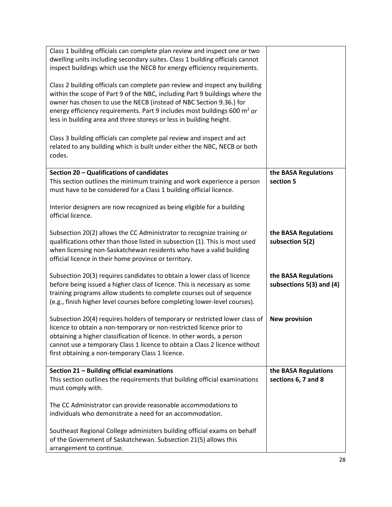<span id="page-27-1"></span><span id="page-27-0"></span>

| Class 1 building officials can complete plan review and inspect one or two<br>dwelling units including secondary suites. Class 1 building officials cannot<br>inspect buildings which use the NECB for energy efficiency requirements.<br>Class 2 building officials can complete pan review and inspect any building<br>within the scope of Part 9 of the NBC, including Part 9 buildings where the<br>owner has chosen to use the NECB (instead of NBC Section 9.36.) for<br>energy efficiency requirements. Part 9 includes most buildings 600 $m2$ or<br>less in building area and three storeys or less in building height.<br>Class 3 building officials can complete pal review and inspect and act<br>related to any building which is built under either the NBC, NECB or both<br>codes. |                                                  |
|---------------------------------------------------------------------------------------------------------------------------------------------------------------------------------------------------------------------------------------------------------------------------------------------------------------------------------------------------------------------------------------------------------------------------------------------------------------------------------------------------------------------------------------------------------------------------------------------------------------------------------------------------------------------------------------------------------------------------------------------------------------------------------------------------|--------------------------------------------------|
|                                                                                                                                                                                                                                                                                                                                                                                                                                                                                                                                                                                                                                                                                                                                                                                                   |                                                  |
| Section 20 - Qualifications of candidates<br>This section outlines the minimum training and work experience a person<br>must have to be considered for a Class 1 building official licence.                                                                                                                                                                                                                                                                                                                                                                                                                                                                                                                                                                                                       | the BASA Regulations<br>section 5                |
| Interior designers are now recognized as being eligible for a building<br>official licence.                                                                                                                                                                                                                                                                                                                                                                                                                                                                                                                                                                                                                                                                                                       |                                                  |
| Subsection 20(2) allows the CC Administrator to recognize training or<br>qualifications other than those listed in subsection (1). This is most used<br>when licensing non-Saskatchewan residents who have a valid building<br>official licence in their home province or territory.                                                                                                                                                                                                                                                                                                                                                                                                                                                                                                              | the BASA Regulations<br>subsection 5(2)          |
| Subsection 20(3) requires candidates to obtain a lower class of licence<br>before being issued a higher class of licence. This is necessary as some<br>training programs allow students to complete courses out of sequence<br>(e.g., finish higher level courses before completing lower-level courses).                                                                                                                                                                                                                                                                                                                                                                                                                                                                                         | the BASA Regulations<br>subsections 5(3) and (4) |
| Subsection 20(4) requires holders of temporary or restricted lower class of<br>licence to obtain a non-temporary or non-restricted licence prior to<br>obtaining a higher classification of licence. In other words, a person<br>cannot use a temporary Class 1 licence to obtain a Class 2 licence without<br>first obtaining a non-temporary Class 1 licence.                                                                                                                                                                                                                                                                                                                                                                                                                                   | <b>New provision</b>                             |
| Section 21 - Building official examinations<br>This section outlines the requirements that building official examinations<br>must comply with.                                                                                                                                                                                                                                                                                                                                                                                                                                                                                                                                                                                                                                                    | the BASA Regulations<br>sections 6, 7 and 8      |
| The CC Administrator can provide reasonable accommodations to<br>individuals who demonstrate a need for an accommodation.                                                                                                                                                                                                                                                                                                                                                                                                                                                                                                                                                                                                                                                                         |                                                  |
| Southeast Regional College administers building official exams on behalf<br>of the Government of Saskatchewan. Subsection 21(5) allows this<br>arrangement to continue.                                                                                                                                                                                                                                                                                                                                                                                                                                                                                                                                                                                                                           |                                                  |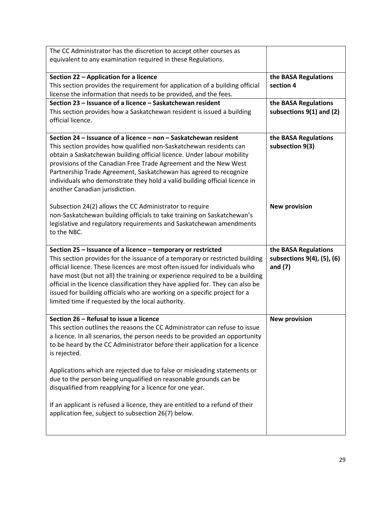<span id="page-28-4"></span><span id="page-28-3"></span><span id="page-28-2"></span><span id="page-28-1"></span><span id="page-28-0"></span>

| The CC Administrator has the discretion to accept other courses as             |                            |
|--------------------------------------------------------------------------------|----------------------------|
| equivalent to any examination required in these Regulations.                   |                            |
|                                                                                |                            |
| Section 22 - Application for a licence                                         | the BASA Regulations       |
| This section provides the requirement for application of a building official   | section 4                  |
| license the information that needs to be provided, and the fees.               |                            |
| Section 23 - Issuance of a licence - Saskatchewan resident                     | the BASA Regulations       |
| This section provides how a Saskatchewan resident is issued a building         | subsections 9(1) and (2)   |
| official licence.                                                              |                            |
|                                                                                |                            |
| Section 24 – Issuance of a licence – non – Saskatchewan resident               | the BASA Regulations       |
| This section provides how qualified non-Saskatchewan residents can             | subsection 9(3)            |
| obtain a Saskatchewan building official licence. Under labour mobility         |                            |
| provisions of the Canadian Free Trade Agreement and the New West               |                            |
| Partnership Trade Agreement, Saskatchewan has agreed to recognize              |                            |
| individuals who demonstrate they hold a valid building official licence in     |                            |
| another Canadian jurisdiction.                                                 |                            |
| Subsection 24(2) allows the CC Administrator to require                        | <b>New provision</b>       |
| non-Saskatchewan building officials to take training on Saskatchewan's         |                            |
| legislative and regulatory requirements and Saskatchewan amendments            |                            |
| to the NBC.                                                                    |                            |
|                                                                                |                            |
|                                                                                |                            |
| Section 25 - Issuance of a licence - temporary or restricted                   | the BASA Regulations       |
| This section provides for the issuance of a temporary or restricted building   | subsections 9(4), (5), (6) |
| official licence. These licences are most often issued for individuals who     | and $(7)$                  |
| have most (but not all) the training or experience required to be a building   |                            |
| official in the licence classification they have applied for. They can also be |                            |
| issued for building officials who are working on a specific project for a      |                            |
| limited time if requested by the local authority.                              |                            |
|                                                                                |                            |
| Section 26 - Refusal to issue a licence                                        | <b>New provision</b>       |
| This section outlines the reasons the CC Administrator can refuse to issue     |                            |
| a licence. In all scenarios, the person needs to be provided an opportunity    |                            |
| to be heard by the CC Administrator before their application for a licence     |                            |
| is rejected.                                                                   |                            |
|                                                                                |                            |
| Applications which are rejected due to false or misleading statements or       |                            |
| due to the person being unqualified on reasonable grounds can be               |                            |
| disqualified from reapplying for a licence for one year.                       |                            |
| If an applicant is refused a licence, they are entitled to a refund of their   |                            |
| application fee, subject to subsection 26(7) below.                            |                            |
|                                                                                |                            |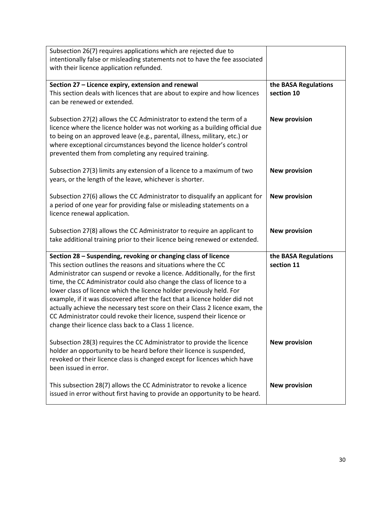<span id="page-29-1"></span><span id="page-29-0"></span>

| Subsection 26(7) requires applications which are rejected due to                                                                                                                                                                                                                                                                                                                                                                                                                                                                                                                                                                                                |                                    |
|-----------------------------------------------------------------------------------------------------------------------------------------------------------------------------------------------------------------------------------------------------------------------------------------------------------------------------------------------------------------------------------------------------------------------------------------------------------------------------------------------------------------------------------------------------------------------------------------------------------------------------------------------------------------|------------------------------------|
| intentionally false or misleading statements not to have the fee associated<br>with their licence application refunded.                                                                                                                                                                                                                                                                                                                                                                                                                                                                                                                                         |                                    |
|                                                                                                                                                                                                                                                                                                                                                                                                                                                                                                                                                                                                                                                                 |                                    |
| Section 27 - Licence expiry, extension and renewal<br>This section deals with licences that are about to expire and how licences<br>can be renewed or extended.                                                                                                                                                                                                                                                                                                                                                                                                                                                                                                 | the BASA Regulations<br>section 10 |
| Subsection 27(2) allows the CC Administrator to extend the term of a<br>licence where the licence holder was not working as a building official due<br>to being on an approved leave (e.g., parental, illness, military, etc.) or<br>where exceptional circumstances beyond the licence holder's control<br>prevented them from completing any required training.                                                                                                                                                                                                                                                                                               | <b>New provision</b>               |
| Subsection 27(3) limits any extension of a licence to a maximum of two<br>years, or the length of the leave, whichever is shorter.                                                                                                                                                                                                                                                                                                                                                                                                                                                                                                                              | <b>New provision</b>               |
| Subsection 27(6) allows the CC Administrator to disqualify an applicant for<br>a period of one year for providing false or misleading statements on a<br>licence renewal application.                                                                                                                                                                                                                                                                                                                                                                                                                                                                           | <b>New provision</b>               |
| Subsection 27(8) allows the CC Administrator to require an applicant to<br>take additional training prior to their licence being renewed or extended.                                                                                                                                                                                                                                                                                                                                                                                                                                                                                                           | <b>New provision</b>               |
| Section 28 - Suspending, revoking or changing class of licence<br>This section outlines the reasons and situations where the CC<br>Administrator can suspend or revoke a licence. Additionally, for the first<br>time, the CC Administrator could also change the class of licence to a<br>lower class of licence which the licence holder previously held. For<br>example, if it was discovered after the fact that a licence holder did not<br>actually achieve the necessary test score on their Class 2 licence exam, the<br>CC Administrator could revoke their licence, suspend their licence or<br>change their licence class back to a Class 1 licence. | the BASA Regulations<br>section 11 |
| Subsection 28(3) requires the CC Administrator to provide the licence                                                                                                                                                                                                                                                                                                                                                                                                                                                                                                                                                                                           | <b>New provision</b>               |
| holder an opportunity to be heard before their licence is suspended,<br>revoked or their licence class is changed except for licences which have<br>been issued in error.                                                                                                                                                                                                                                                                                                                                                                                                                                                                                       |                                    |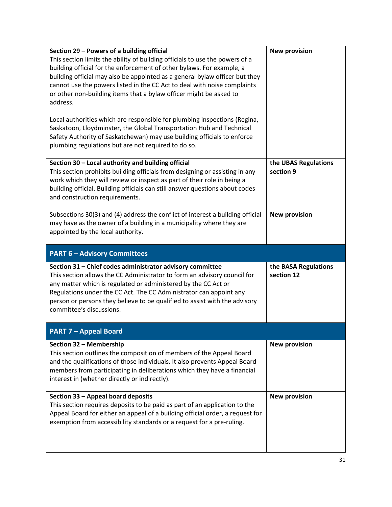<span id="page-30-6"></span><span id="page-30-5"></span><span id="page-30-4"></span><span id="page-30-3"></span><span id="page-30-2"></span><span id="page-30-1"></span><span id="page-30-0"></span>

| Section 29 - Powers of a building official<br>This section limits the ability of building officials to use the powers of a<br>building official for the enforcement of other bylaws. For example, a<br>building official may also be appointed as a general bylaw officer but they<br>cannot use the powers listed in the CC Act to deal with noise complaints<br>or other non-building items that a bylaw officer might be asked to<br>address.<br>Local authorities which are responsible for plumbing inspections (Regina,<br>Saskatoon, Lloydminster, the Global Transportation Hub and Technical<br>Safety Authority of Saskatchewan) may use building officials to enforce<br>plumbing regulations but are not required to do so. | <b>New provision</b>               |
|-----------------------------------------------------------------------------------------------------------------------------------------------------------------------------------------------------------------------------------------------------------------------------------------------------------------------------------------------------------------------------------------------------------------------------------------------------------------------------------------------------------------------------------------------------------------------------------------------------------------------------------------------------------------------------------------------------------------------------------------|------------------------------------|
| Section 30 - Local authority and building official<br>This section prohibits building officials from designing or assisting in any<br>work which they will review or inspect as part of their role in being a<br>building official. Building officials can still answer questions about codes<br>and construction requirements.                                                                                                                                                                                                                                                                                                                                                                                                         | the UBAS Regulations<br>section 9  |
| Subsections 30(3) and (4) address the conflict of interest a building official<br>may have as the owner of a building in a municipality where they are<br>appointed by the local authority.                                                                                                                                                                                                                                                                                                                                                                                                                                                                                                                                             | <b>New provision</b>               |
|                                                                                                                                                                                                                                                                                                                                                                                                                                                                                                                                                                                                                                                                                                                                         |                                    |
| <b>PART 6 - Advisory Committees</b>                                                                                                                                                                                                                                                                                                                                                                                                                                                                                                                                                                                                                                                                                                     |                                    |
| Section 31 - Chief codes administrator advisory committee<br>This section allows the CC Administrator to form an advisory council for<br>any matter which is regulated or administered by the CC Act or<br>Regulations under the CC Act. The CC Administrator can appoint any<br>person or persons they believe to be qualified to assist with the advisory<br>committee's discussions.                                                                                                                                                                                                                                                                                                                                                 | the BASA Regulations<br>section 12 |
| <b>PART 7 - Appeal Board</b>                                                                                                                                                                                                                                                                                                                                                                                                                                                                                                                                                                                                                                                                                                            |                                    |
| Section 32 - Membership<br>This section outlines the composition of members of the Appeal Board<br>and the qualifications of those individuals. It also prevents Appeal Board<br>members from participating in deliberations which they have a financial<br>interest in (whether directly or indirectly).                                                                                                                                                                                                                                                                                                                                                                                                                               | <b>New provision</b>               |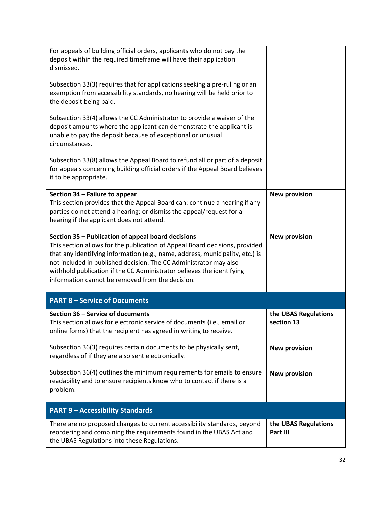<span id="page-31-4"></span><span id="page-31-3"></span><span id="page-31-2"></span><span id="page-31-1"></span><span id="page-31-0"></span>

| <b>PART 9 - Accessibility Standards</b><br>There are no proposed changes to current accessibility standards, beyond<br>reordering and combining the requirements found in the UBAS Act and                                                                                                                                                                                                                           | the UBAS Regulations<br>Part III   |
|----------------------------------------------------------------------------------------------------------------------------------------------------------------------------------------------------------------------------------------------------------------------------------------------------------------------------------------------------------------------------------------------------------------------|------------------------------------|
| Subsection 36(4) outlines the minimum requirements for emails to ensure<br>readability and to ensure recipients know who to contact if there is a<br>problem.                                                                                                                                                                                                                                                        | <b>New provision</b>               |
| Subsection 36(3) requires certain documents to be physically sent,<br>regardless of if they are also sent electronically.                                                                                                                                                                                                                                                                                            | <b>New provision</b>               |
| Section 36 - Service of documents<br>This section allows for electronic service of documents (i.e., email or<br>online forms) that the recipient has agreed in writing to receive                                                                                                                                                                                                                                    | the UBAS Regulations<br>section 13 |
| <b>PART 8 - Service of Documents</b>                                                                                                                                                                                                                                                                                                                                                                                 |                                    |
| Section 35 - Publication of appeal board decisions<br>This section allows for the publication of Appeal Board decisions, provided<br>that any identifying information (e.g., name, address, municipality, etc.) is<br>not included in published decision. The CC Administrator may also<br>withhold publication if the CC Administrator believes the identifying<br>information cannot be removed from the decision. | <b>New provision</b>               |
| Section 34 - Failure to appear<br>This section provides that the Appeal Board can: continue a hearing if any<br>parties do not attend a hearing; or dismiss the appeal/request for a<br>hearing if the applicant does not attend.                                                                                                                                                                                    | <b>New provision</b>               |
| Subsection 33(8) allows the Appeal Board to refund all or part of a deposit<br>for appeals concerning building official orders if the Appeal Board believes<br>it to be appropriate.                                                                                                                                                                                                                                 |                                    |
| Subsection 33(4) allows the CC Administrator to provide a waiver of the<br>deposit amounts where the applicant can demonstrate the applicant is<br>unable to pay the deposit because of exceptional or unusual<br>circumstances.                                                                                                                                                                                     |                                    |
| Subsection 33(3) requires that for applications seeking a pre-ruling or an<br>exemption from accessibility standards, no hearing will be held prior to<br>the deposit being paid.                                                                                                                                                                                                                                    |                                    |
| For appeals of building official orders, applicants who do not pay the<br>deposit within the required timeframe will have their application<br>dismissed.                                                                                                                                                                                                                                                            |                                    |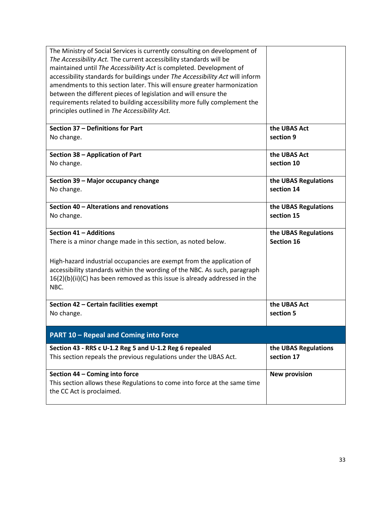<span id="page-32-8"></span><span id="page-32-7"></span><span id="page-32-6"></span><span id="page-32-5"></span><span id="page-32-4"></span><span id="page-32-3"></span><span id="page-32-2"></span><span id="page-32-1"></span><span id="page-32-0"></span>

| The Ministry of Social Services is currently consulting on development of<br>The Accessibility Act. The current accessibility standards will be<br>maintained until The Accessibility Act is completed. Development of<br>accessibility standards for buildings under The Accessibility Act will inform<br>amendments to this section later. This will ensure greater harmonization<br>between the different pieces of legislation and will ensure the<br>requirements related to building accessibility more fully complement the<br>principles outlined in The Accessibility Act. |                                    |
|-------------------------------------------------------------------------------------------------------------------------------------------------------------------------------------------------------------------------------------------------------------------------------------------------------------------------------------------------------------------------------------------------------------------------------------------------------------------------------------------------------------------------------------------------------------------------------------|------------------------------------|
| Section 37 - Definitions for Part                                                                                                                                                                                                                                                                                                                                                                                                                                                                                                                                                   | the UBAS Act                       |
| No change.                                                                                                                                                                                                                                                                                                                                                                                                                                                                                                                                                                          | section 9                          |
| Section 38 - Application of Part                                                                                                                                                                                                                                                                                                                                                                                                                                                                                                                                                    | the UBAS Act                       |
| No change.                                                                                                                                                                                                                                                                                                                                                                                                                                                                                                                                                                          | section 10                         |
| Section 39 - Major occupancy change                                                                                                                                                                                                                                                                                                                                                                                                                                                                                                                                                 | the UBAS Regulations               |
| No change.                                                                                                                                                                                                                                                                                                                                                                                                                                                                                                                                                                          | section 14                         |
| Section 40 - Alterations and renovations                                                                                                                                                                                                                                                                                                                                                                                                                                                                                                                                            | the UBAS Regulations               |
| No change.                                                                                                                                                                                                                                                                                                                                                                                                                                                                                                                                                                          | section 15                         |
| Section 41 - Additions                                                                                                                                                                                                                                                                                                                                                                                                                                                                                                                                                              | the UBAS Regulations               |
| There is a minor change made in this section, as noted below.                                                                                                                                                                                                                                                                                                                                                                                                                                                                                                                       | <b>Section 16</b>                  |
| High-hazard industrial occupancies are exempt from the application of                                                                                                                                                                                                                                                                                                                                                                                                                                                                                                               |                                    |
| accessibility standards within the wording of the NBC. As such, paragraph                                                                                                                                                                                                                                                                                                                                                                                                                                                                                                           |                                    |
| 16(2)(b)(ii)(C) has been removed as this issue is already addressed in the<br>NBC.                                                                                                                                                                                                                                                                                                                                                                                                                                                                                                  |                                    |
| Section 42 - Certain facilities exempt                                                                                                                                                                                                                                                                                                                                                                                                                                                                                                                                              | the UBAS Act                       |
| No change.                                                                                                                                                                                                                                                                                                                                                                                                                                                                                                                                                                          | section 5                          |
| <b>PART 10 - Repeal and Coming into Force</b>                                                                                                                                                                                                                                                                                                                                                                                                                                                                                                                                       |                                    |
| Section 43 - RRS c U-1.2 Reg 5 and U-1.2 Reg 6 repealed<br>This section repeals the previous regulations under the UBAS Act.                                                                                                                                                                                                                                                                                                                                                                                                                                                        | the UBAS Regulations<br>section 17 |
| Section 44 - Coming into force<br>This section allows these Regulations to come into force at the same time<br>the CC Act is proclaimed.                                                                                                                                                                                                                                                                                                                                                                                                                                            | <b>New provision</b>               |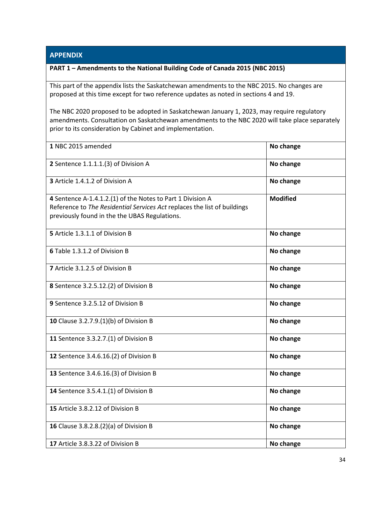#### <span id="page-33-0"></span>**APPENDIX**

#### <span id="page-33-1"></span>**PART 1 – Amendments to the National Building Code of Canada 2015 (NBC 2015)**

This part of the appendix lists the Saskatchewan amendments to the NBC 2015. No changes are proposed at this time except for two reference updates as noted in sections 4 and 19.

The NBC 2020 proposed to be adopted in Saskatchewan January 1, 2023, may require regulatory amendments. Consultation on Saskatchewan amendments to the NBC 2020 will take place separately prior to its consideration by Cabinet and implementation.

| 1 NBC 2015 amended                                                                                                                                                                      | No change       |
|-----------------------------------------------------------------------------------------------------------------------------------------------------------------------------------------|-----------------|
| 2 Sentence 1.1.1.1.(3) of Division A                                                                                                                                                    | No change       |
| 3 Article 1.4.1.2 of Division A                                                                                                                                                         | No change       |
| 4 Sentence A-1.4.1.2.(1) of the Notes to Part 1 Division A<br>Reference to The Residential Services Act replaces the list of buildings<br>previously found in the the UBAS Regulations. | <b>Modified</b> |
| 5 Article 1.3.1.1 of Division B                                                                                                                                                         | No change       |
| 6 Table 1.3.1.2 of Division B                                                                                                                                                           | No change       |
| 7 Article 3.1.2.5 of Division B                                                                                                                                                         | No change       |
| <b>8</b> Sentence 3.2.5.12.(2) of Division B                                                                                                                                            | No change       |
| 9 Sentence 3.2.5.12 of Division B                                                                                                                                                       | No change       |
| 10 Clause 3.2.7.9.(1)(b) of Division B                                                                                                                                                  | No change       |
| 11 Sentence 3.3.2.7.(1) of Division B                                                                                                                                                   | No change       |
| 12 Sentence 3.4.6.16.(2) of Division B                                                                                                                                                  | No change       |
| 13 Sentence 3.4.6.16.(3) of Division B                                                                                                                                                  | No change       |
| 14 Sentence 3.5.4.1.(1) of Division B                                                                                                                                                   | No change       |
| 15 Article 3.8.2.12 of Division B                                                                                                                                                       | No change       |
| 16 Clause 3.8.2.8.(2)(a) of Division B                                                                                                                                                  | No change       |
| 17 Article 3.8.3.22 of Division B                                                                                                                                                       | No change       |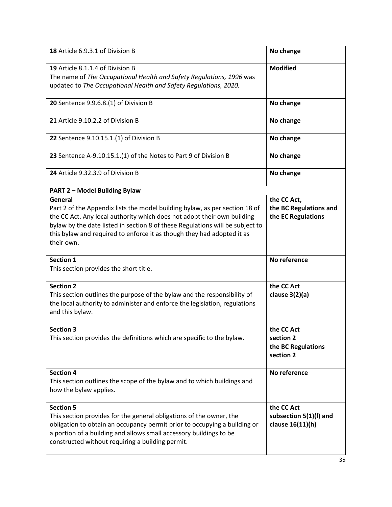<span id="page-34-0"></span>

| 18 Article 6.9.3.1 of Division B                                                                                                                                                                                                                                                                                                           | No change                                                   |
|--------------------------------------------------------------------------------------------------------------------------------------------------------------------------------------------------------------------------------------------------------------------------------------------------------------------------------------------|-------------------------------------------------------------|
| 19 Article 8.1.1.4 of Division B<br>The name of The Occupational Health and Safety Regulations, 1996 was<br>updated to The Occupational Health and Safety Regulations, 2020.                                                                                                                                                               | <b>Modified</b>                                             |
| 20 Sentence 9.9.6.8.(1) of Division B                                                                                                                                                                                                                                                                                                      | No change                                                   |
| 21 Article 9.10.2.2 of Division B                                                                                                                                                                                                                                                                                                          | No change                                                   |
| 22 Sentence 9.10.15.1.(1) of Division B                                                                                                                                                                                                                                                                                                    | No change                                                   |
| 23 Sentence A-9.10.15.1.(1) of the Notes to Part 9 of Division B                                                                                                                                                                                                                                                                           | No change                                                   |
| 24 Article 9.32.3.9 of Division B                                                                                                                                                                                                                                                                                                          | No change                                                   |
| <b>PART 2 - Model Building Bylaw</b>                                                                                                                                                                                                                                                                                                       |                                                             |
| General<br>Part 2 of the Appendix lists the model building bylaw, as per section 18 of<br>the CC Act. Any local authority which does not adopt their own building<br>bylaw by the date listed in section 8 of these Regulations will be subject to<br>this bylaw and required to enforce it as though they had adopted it as<br>their own. | the CC Act,<br>the BC Regulations and<br>the EC Regulations |
| <b>Section 1</b><br>This section provides the short title.                                                                                                                                                                                                                                                                                 | No reference                                                |
| <b>Section 2</b><br>This section outlines the purpose of the bylaw and the responsibility of<br>the local authority to administer and enforce the legislation, regulations<br>and this bylaw.                                                                                                                                              | the CC Act<br>clause $3(2)(a)$                              |
| <b>Section 3</b><br>This section provides the definitions which are specific to the bylaw.                                                                                                                                                                                                                                                 | the CC Act<br>section 2<br>the BC Regulations<br>section 2  |
| <b>Section 4</b><br>This section outlines the scope of the bylaw and to which buildings and<br>how the bylaw applies.                                                                                                                                                                                                                      | No reference                                                |
| <b>Section 5</b><br>This section provides for the general obligations of the owner, the<br>obligation to obtain an occupancy permit prior to occupying a building or<br>a portion of a building and allows small accessory buildings to be<br>constructed without requiring a building permit.                                             | the CC Act<br>subsection 5(1)(I) and<br>clause 16(11)(h)    |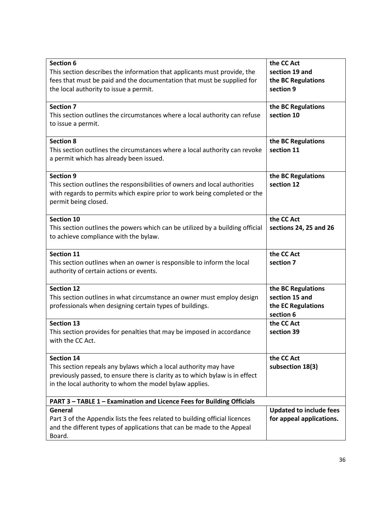<span id="page-35-0"></span>

| <b>Section 6</b><br>This section describes the information that applicants must provide, the<br>fees that must be paid and the documentation that must be supplied for<br>the local authority to issue a permit.                 | the CC Act<br>section 19 and<br>the BC Regulations<br>section 9         |
|----------------------------------------------------------------------------------------------------------------------------------------------------------------------------------------------------------------------------------|-------------------------------------------------------------------------|
| <b>Section 7</b><br>This section outlines the circumstances where a local authority can refuse<br>to issue a permit.                                                                                                             | the BC Regulations<br>section 10                                        |
| <b>Section 8</b><br>This section outlines the circumstances where a local authority can revoke<br>a permit which has already been issued.                                                                                        | the BC Regulations<br>section 11                                        |
| <b>Section 9</b><br>This section outlines the responsibilities of owners and local authorities<br>with regards to permits which expire prior to work being completed or the<br>permit being closed.                              | the BC Regulations<br>section 12                                        |
| <b>Section 10</b><br>This section outlines the powers which can be utilized by a building official<br>to achieve compliance with the bylaw.                                                                                      | the CC Act<br>sections 24, 25 and 26                                    |
| <b>Section 11</b><br>This section outlines when an owner is responsible to inform the local<br>authority of certain actions or events.                                                                                           | the CC Act<br>section 7                                                 |
| <b>Section 12</b><br>This section outlines in what circumstance an owner must employ design<br>professionals when designing certain types of buildings.                                                                          | the BC Regulations<br>section 15 and<br>the EC Regulations<br>section 6 |
| <b>Section 13</b><br>This section provides for penalties that may be imposed in accordance<br>with the CC Act.                                                                                                                   | the CC Act<br>section 39                                                |
| <b>Section 14</b><br>This section repeals any bylaws which a local authority may have<br>previously passed, to ensure there is clarity as to which bylaw is in effect<br>in the local authority to whom the model bylaw applies. | the CC Act<br>subsection 18(3)                                          |
| PART 3 - TABLE 1 - Examination and Licence Fees for Building Officials                                                                                                                                                           |                                                                         |
| General<br>Part 3 of the Appendix lists the fees related to building official licences<br>and the different types of applications that can be made to the Appeal<br>Board.                                                       | <b>Updated to include fees</b><br>for appeal applications.              |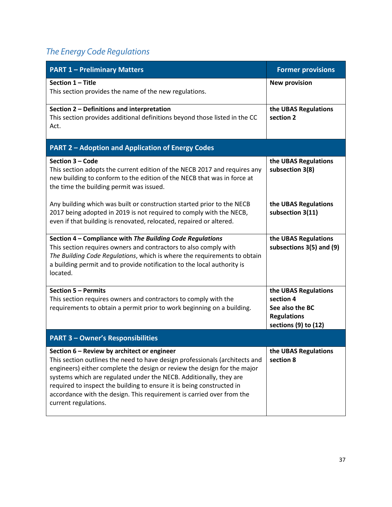## <span id="page-36-0"></span>*The Energy Code Regulations*

<span id="page-36-8"></span><span id="page-36-7"></span><span id="page-36-6"></span><span id="page-36-5"></span><span id="page-36-4"></span><span id="page-36-3"></span><span id="page-36-2"></span><span id="page-36-1"></span>

| <b>PART 1 - Preliminary Matters</b>                                                                                                                                                                                                                                                                                                                                                                                                                    | <b>Former provisions</b>                                                                           |
|--------------------------------------------------------------------------------------------------------------------------------------------------------------------------------------------------------------------------------------------------------------------------------------------------------------------------------------------------------------------------------------------------------------------------------------------------------|----------------------------------------------------------------------------------------------------|
| Section 1 - Title<br>This section provides the name of the new regulations.                                                                                                                                                                                                                                                                                                                                                                            | <b>New provision</b>                                                                               |
| Section 2 - Definitions and interpretation<br>This section provides additional definitions beyond those listed in the CC<br>Act.                                                                                                                                                                                                                                                                                                                       | the UBAS Regulations<br>section 2                                                                  |
| <b>PART 2 - Adoption and Application of Energy Codes</b>                                                                                                                                                                                                                                                                                                                                                                                               |                                                                                                    |
| Section 3 - Code<br>This section adopts the current edition of the NECB 2017 and requires any<br>new building to conform to the edition of the NECB that was in force at<br>the time the building permit was issued.                                                                                                                                                                                                                                   | the UBAS Regulations<br>subsection 3(8)                                                            |
| Any building which was built or construction started prior to the NECB<br>2017 being adopted in 2019 is not required to comply with the NECB,<br>even if that building is renovated, relocated, repaired or altered.                                                                                                                                                                                                                                   | the UBAS Regulations<br>subsection 3(11)                                                           |
| Section 4 - Compliance with The Building Code Regulations<br>This section requires owners and contractors to also comply with<br>The Building Code Regulations, which is where the requirements to obtain<br>a building permit and to provide notification to the local authority is<br>located.                                                                                                                                                       | the UBAS Regulations<br>subsections 3(5) and (9)                                                   |
| Section 5 - Permits<br>This section requires owners and contractors to comply with the<br>requirements to obtain a permit prior to work beginning on a building.                                                                                                                                                                                                                                                                                       | the UBAS Regulations<br>section 4<br>See also the BC<br><b>Regulations</b><br>sections (9) to (12) |
| <b>PART 3 - Owner's Responsibilities</b>                                                                                                                                                                                                                                                                                                                                                                                                               |                                                                                                    |
| Section 6 - Review by architect or engineer<br>This section outlines the need to have design professionals (architects and<br>engineers) either complete the design or review the design for the major<br>systems which are regulated under the NECB. Additionally, they are<br>required to inspect the building to ensure it is being constructed in<br>accordance with the design. This requirement is carried over from the<br>current regulations. | the UBAS Regulations<br>section 8                                                                  |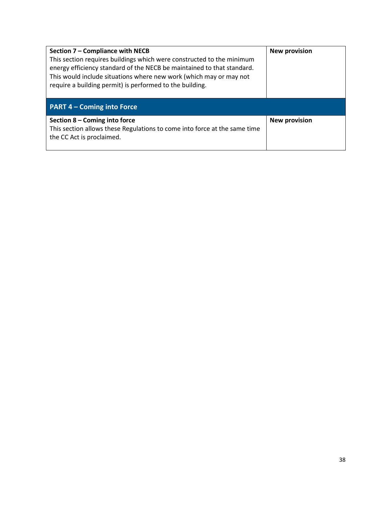<span id="page-37-2"></span><span id="page-37-1"></span><span id="page-37-0"></span>

| Section 7 - Compliance with NECB<br>This section requires buildings which were constructed to the minimum<br>energy efficiency standard of the NECB be maintained to that standard.<br>This would include situations where new work (which may or may not<br>require a building permit) is performed to the building. | <b>New provision</b> |
|-----------------------------------------------------------------------------------------------------------------------------------------------------------------------------------------------------------------------------------------------------------------------------------------------------------------------|----------------------|
| <b>PART 4 - Coming into Force</b>                                                                                                                                                                                                                                                                                     |                      |
| Section 8 - Coming into force<br>This section allows these Regulations to come into force at the same time<br>the CC Act is proclaimed.                                                                                                                                                                               | <b>New provision</b> |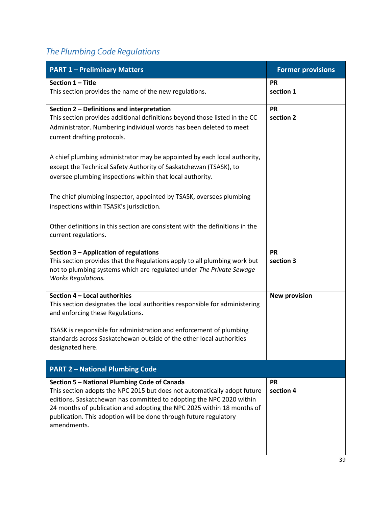## <span id="page-38-0"></span>*The Plumbing Code Regulations*

<span id="page-38-6"></span><span id="page-38-5"></span><span id="page-38-4"></span><span id="page-38-3"></span><span id="page-38-2"></span><span id="page-38-1"></span>

| <b>PART 1 - Preliminary Matters</b>                                                                                                                                                                                                                                                                                                                            | <b>Former provisions</b> |
|----------------------------------------------------------------------------------------------------------------------------------------------------------------------------------------------------------------------------------------------------------------------------------------------------------------------------------------------------------------|--------------------------|
| Section 1 - Title<br>This section provides the name of the new regulations.                                                                                                                                                                                                                                                                                    | <b>PR</b><br>section 1   |
| Section 2 - Definitions and interpretation<br>This section provides additional definitions beyond those listed in the CC<br>Administrator. Numbering individual words has been deleted to meet<br>current drafting protocols.                                                                                                                                  | <b>PR</b><br>section 2   |
| A chief plumbing administrator may be appointed by each local authority,<br>except the Technical Safety Authority of Saskatchewan (TSASK), to<br>oversee plumbing inspections within that local authority.                                                                                                                                                     |                          |
| The chief plumbing inspector, appointed by TSASK, oversees plumbing<br>inspections within TSASK's jurisdiction.                                                                                                                                                                                                                                                |                          |
| Other definitions in this section are consistent with the definitions in the<br>current regulations.                                                                                                                                                                                                                                                           |                          |
| Section 3 - Application of regulations<br>This section provides that the Regulations apply to all plumbing work but<br>not to plumbing systems which are regulated under The Private Sewage<br><b>Works Regulations.</b>                                                                                                                                       | <b>PR</b><br>section 3   |
| Section 4 - Local authorities<br>This section designates the local authorities responsible for administering<br>and enforcing these Regulations.                                                                                                                                                                                                               | <b>New provision</b>     |
| TSASK is responsible for administration and enforcement of plumbing<br>standards across Saskatchewan outside of the other local authorities<br>designated here.                                                                                                                                                                                                |                          |
| <b>PART 2 - National Plumbing Code</b>                                                                                                                                                                                                                                                                                                                         |                          |
| Section 5 - National Plumbing Code of Canada<br>This section adopts the NPC 2015 but does not automatically adopt future<br>editions. Saskatchewan has committed to adopting the NPC 2020 within<br>24 months of publication and adopting the NPC 2025 within 18 months of<br>publication. This adoption will be done through future regulatory<br>amendments. | <b>PR</b><br>section 4   |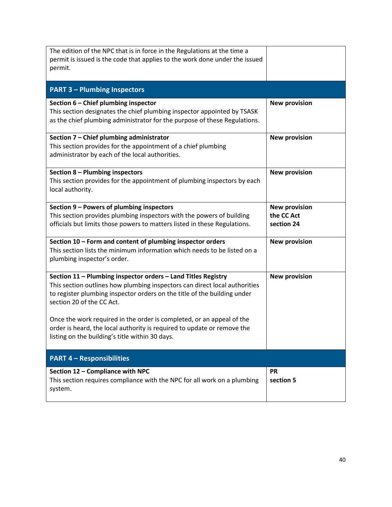<span id="page-39-8"></span><span id="page-39-7"></span><span id="page-39-6"></span><span id="page-39-5"></span><span id="page-39-4"></span><span id="page-39-3"></span><span id="page-39-2"></span><span id="page-39-1"></span><span id="page-39-0"></span>

| The edition of the NPC that is in force in the Regulations at the time a<br>permit is issued is the code that applies to the work done under the issued<br>permit.                                                                                                                                                            |                                                  |
|-------------------------------------------------------------------------------------------------------------------------------------------------------------------------------------------------------------------------------------------------------------------------------------------------------------------------------|--------------------------------------------------|
| <b>PART 3 - Plumbing Inspectors</b>                                                                                                                                                                                                                                                                                           |                                                  |
| Section 6 - Chief plumbing inspector<br>This section designates the chief plumbing inspector appointed by TSASK<br>as the chief plumbing administrator for the purpose of these Regulations.                                                                                                                                  | <b>New provision</b>                             |
| Section 7 - Chief plumbing administrator<br>This section provides for the appointment of a chief plumbing<br>administrator by each of the local authorities.                                                                                                                                                                  | <b>New provision</b>                             |
| Section 8 - Plumbing inspectors<br>This section provides for the appointment of plumbing inspectors by each<br>local authority.                                                                                                                                                                                               | <b>New provision</b>                             |
| Section 9 - Powers of plumbing inspectors<br>This section provides plumbing inspectors with the powers of building<br>officials but limits those powers to matters listed in these Regulations.                                                                                                                               | <b>New provision</b><br>the CC Act<br>section 24 |
| Section 10 - Form and content of plumbing inspector orders<br>This section lists the minimum information which needs to be listed on a<br>plumbing inspector's order.                                                                                                                                                         | <b>New provision</b>                             |
| Section 11 - Plumbing inspector orders - Land Titles Registry<br>This section outlines how plumbing inspectors can direct local authorities<br>to register plumbing inspector orders on the title of the building under<br>section 20 of the CC Act.<br>Once the work required in the order is completed, or an appeal of the | <b>New provision</b>                             |
| order is heard, the local authority is required to update or remove the<br>listing on the building's title within 30 days.                                                                                                                                                                                                    |                                                  |
| <b>PART 4 - Responsibilities</b>                                                                                                                                                                                                                                                                                              |                                                  |
| Section 12 - Compliance with NPC<br>This section requires compliance with the NPC for all work on a plumbing<br>system.                                                                                                                                                                                                       | <b>PR</b><br>section 5                           |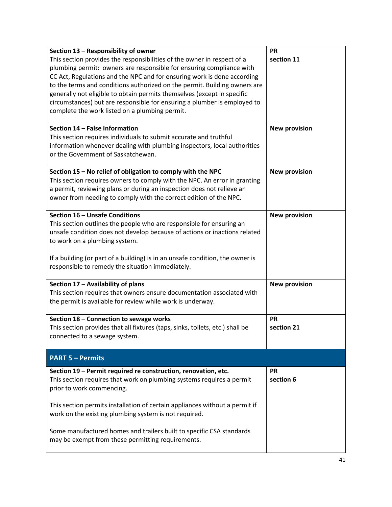<span id="page-40-7"></span><span id="page-40-6"></span><span id="page-40-5"></span><span id="page-40-4"></span><span id="page-40-3"></span><span id="page-40-2"></span><span id="page-40-1"></span><span id="page-40-0"></span>

| Section 13 - Responsibility of owner                                          | <b>PR</b>            |
|-------------------------------------------------------------------------------|----------------------|
| This section provides the responsibilities of the owner in respect of a       | section 11           |
| plumbing permit: owners are responsible for ensuring compliance with          |                      |
| CC Act, Regulations and the NPC and for ensuring work is done according       |                      |
| to the terms and conditions authorized on the permit. Building owners are     |                      |
| generally not eligible to obtain permits themselves (except in specific       |                      |
| circumstances) but are responsible for ensuring a plumber is employed to      |                      |
| complete the work listed on a plumbing permit.                                |                      |
|                                                                               |                      |
| Section 14 - False Information                                                |                      |
|                                                                               | <b>New provision</b> |
| This section requires individuals to submit accurate and truthful             |                      |
| information whenever dealing with plumbing inspectors, local authorities      |                      |
| or the Government of Saskatchewan.                                            |                      |
|                                                                               |                      |
| Section 15 - No relief of obligation to comply with the NPC                   | <b>New provision</b> |
| This section requires owners to comply with the NPC. An error in granting     |                      |
| a permit, reviewing plans or during an inspection does not relieve an         |                      |
| owner from needing to comply with the correct edition of the NPC.             |                      |
|                                                                               |                      |
| Section 16 - Unsafe Conditions                                                | <b>New provision</b> |
| This section outlines the people who are responsible for ensuring an          |                      |
| unsafe condition does not develop because of actions or inactions related     |                      |
| to work on a plumbing system.                                                 |                      |
|                                                                               |                      |
| If a building (or part of a building) is in an unsafe condition, the owner is |                      |
| responsible to remedy the situation immediately.                              |                      |
|                                                                               |                      |
| Section 17 - Availability of plans                                            | <b>New provision</b> |
| This section requires that owners ensure documentation associated with        |                      |
| the permit is available for review while work is underway.                    |                      |
|                                                                               |                      |
|                                                                               | <b>PR</b>            |
| Section 18 - Connection to sewage works                                       |                      |
| This section provides that all fixtures (taps, sinks, toilets, etc.) shall be | section 21           |
| connected to a sewage system.                                                 |                      |
|                                                                               |                      |
| <b>PART 5 - Permits</b>                                                       |                      |
| Section 19 - Permit required re construction, renovation, etc.                | <b>PR</b>            |
| This section requires that work on plumbing systems requires a permit         | section 6            |
| prior to work commencing.                                                     |                      |
|                                                                               |                      |
| This section permits installation of certain appliances without a permit if   |                      |
| work on the existing plumbing system is not required.                         |                      |
|                                                                               |                      |
| Some manufactured homes and trailers built to specific CSA standards          |                      |
| may be exempt from these permitting requirements.                             |                      |
|                                                                               |                      |
|                                                                               |                      |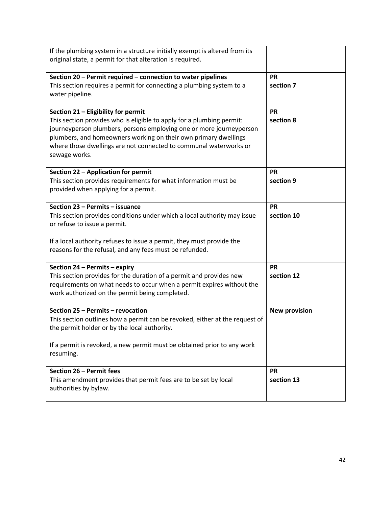<span id="page-41-6"></span><span id="page-41-5"></span><span id="page-41-4"></span><span id="page-41-3"></span><span id="page-41-2"></span><span id="page-41-1"></span><span id="page-41-0"></span>

| If the plumbing system in a structure initially exempt is altered from its  |                      |
|-----------------------------------------------------------------------------|----------------------|
| original state, a permit for that alteration is required.                   |                      |
|                                                                             |                      |
| Section 20 - Permit required - connection to water pipelines                | <b>PR</b>            |
| This section requires a permit for connecting a plumbing system to a        | section 7            |
| water pipeline.                                                             |                      |
|                                                                             |                      |
| Section 21 - Eligibility for permit                                         | <b>PR</b>            |
| This section provides who is eligible to apply for a plumbing permit:       | section 8            |
| journeyperson plumbers, persons employing one or more journeyperson         |                      |
| plumbers, and homeowners working on their own primary dwellings             |                      |
| where those dwellings are not connected to communal waterworks or           |                      |
| sewage works.                                                               |                      |
|                                                                             |                      |
| Section 22 - Application for permit                                         | <b>PR</b>            |
| This section provides requirements for what information must be             | section 9            |
| provided when applying for a permit.                                        |                      |
|                                                                             |                      |
| Section 23 - Permits - issuance                                             | <b>PR</b>            |
| This section provides conditions under which a local authority may issue    | section 10           |
| or refuse to issue a permit.                                                |                      |
| If a local authority refuses to issue a permit, they must provide the       |                      |
| reasons for the refusal, and any fees must be refunded.                     |                      |
|                                                                             |                      |
| Section 24 - Permits - expiry                                               | <b>PR</b>            |
| This section provides for the duration of a permit and provides new         | section 12           |
| requirements on what needs to occur when a permit expires without the       |                      |
| work authorized on the permit being completed.                              |                      |
|                                                                             |                      |
| Section 25 - Permits - revocation                                           | <b>New provision</b> |
| This section outlines how a permit can be revoked, either at the request of |                      |
| the permit holder or by the local authority.                                |                      |
|                                                                             |                      |
| If a permit is revoked, a new permit must be obtained prior to any work     |                      |
| resuming.                                                                   |                      |
|                                                                             |                      |
| Section 26 - Permit fees                                                    | <b>PR</b>            |
| This amendment provides that permit fees are to be set by local             | section 13           |
| authorities by bylaw.                                                       |                      |
|                                                                             |                      |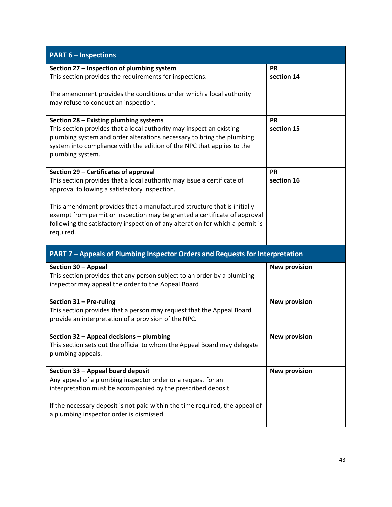<span id="page-42-8"></span><span id="page-42-7"></span><span id="page-42-6"></span><span id="page-42-5"></span><span id="page-42-4"></span><span id="page-42-3"></span><span id="page-42-2"></span><span id="page-42-1"></span><span id="page-42-0"></span>

| <b>PART 6 - Inspections</b>                                                                                                                                                                                                                                                           |                         |
|---------------------------------------------------------------------------------------------------------------------------------------------------------------------------------------------------------------------------------------------------------------------------------------|-------------------------|
| Section 27 - Inspection of plumbing system<br>This section provides the requirements for inspections.<br>The amendment provides the conditions under which a local authority                                                                                                          | <b>PR</b><br>section 14 |
| may refuse to conduct an inspection.                                                                                                                                                                                                                                                  |                         |
| Section 28 - Existing plumbing systems<br>This section provides that a local authority may inspect an existing<br>plumbing system and order alterations necessary to bring the plumbing<br>system into compliance with the edition of the NPC that applies to the<br>plumbing system. | <b>PR</b><br>section 15 |
| Section 29 - Certificates of approval<br>This section provides that a local authority may issue a certificate of<br>approval following a satisfactory inspection.                                                                                                                     | <b>PR</b><br>section 16 |
| This amendment provides that a manufactured structure that is initially<br>exempt from permit or inspection may be granted a certificate of approval<br>following the satisfactory inspection of any alteration for which a permit is<br>required.                                    |                         |
|                                                                                                                                                                                                                                                                                       |                         |
| PART 7 - Appeals of Plumbing Inspector Orders and Requests for Interpretation                                                                                                                                                                                                         |                         |
| Section 30 - Appeal<br>This section provides that any person subject to an order by a plumbing<br>inspector may appeal the order to the Appeal Board                                                                                                                                  | <b>New provision</b>    |
| Section 31 - Pre-ruling<br>This section provides that a person may request that the Appeal Board<br>provide an interpretation of a provision of the NPC.                                                                                                                              | <b>New provision</b>    |
| Section 32 - Appeal decisions - plumbing<br>This section sets out the official to whom the Appeal Board may delegate<br>plumbing appeals.                                                                                                                                             | New provision           |
| Section 33 - Appeal board deposit<br>Any appeal of a plumbing inspector order or a request for an<br>interpretation must be accompanied by the prescribed deposit.                                                                                                                    | <b>New provision</b>    |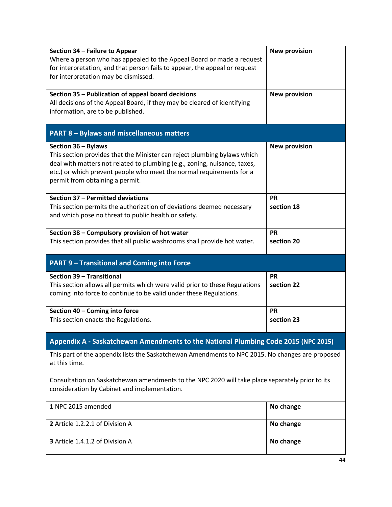<span id="page-43-9"></span><span id="page-43-8"></span><span id="page-43-7"></span><span id="page-43-6"></span><span id="page-43-5"></span><span id="page-43-4"></span><span id="page-43-3"></span><span id="page-43-2"></span><span id="page-43-1"></span><span id="page-43-0"></span>

| Section 34 - Failure to Appear<br><b>New provision</b>                                           |  |
|--------------------------------------------------------------------------------------------------|--|
| Where a person who has appealed to the Appeal Board or made a request                            |  |
| for interpretation, and that person fails to appear, the appeal or request                       |  |
| for interpretation may be dismissed.                                                             |  |
|                                                                                                  |  |
| Section 35 - Publication of appeal board decisions<br><b>New provision</b>                       |  |
| All decisions of the Appeal Board, if they may be cleared of identifying                         |  |
| information, are to be published.                                                                |  |
|                                                                                                  |  |
|                                                                                                  |  |
| <b>PART 8 - Bylaws and miscellaneous matters</b>                                                 |  |
| <b>New provision</b><br>Section 36 - Bylaws                                                      |  |
| This section provides that the Minister can reject plumbing bylaws which                         |  |
|                                                                                                  |  |
| deal with matters not related to plumbing (e.g., zoning, nuisance, taxes,                        |  |
| etc.) or which prevent people who meet the normal requirements for a                             |  |
| permit from obtaining a permit.                                                                  |  |
|                                                                                                  |  |
| Section 37 - Permitted deviations<br><b>PR</b>                                                   |  |
| This section permits the authorization of deviations deemed necessary<br>section 18              |  |
| and which pose no threat to public health or safety.                                             |  |
|                                                                                                  |  |
| Section 38 - Compulsory provision of hot water<br><b>PR</b>                                      |  |
| This section provides that all public washrooms shall provide hot water.<br>section 20           |  |
|                                                                                                  |  |
| <b>PART 9 - Transitional and Coming into Force</b>                                               |  |
| Section 39 - Transitional<br><b>PR</b>                                                           |  |
| This section allows all permits which were valid prior to these Regulations<br>section 22        |  |
| coming into force to continue to be valid under these Regulations.                               |  |
|                                                                                                  |  |
| Section 40 - Coming into force<br><b>PR</b>                                                      |  |
| This section enacts the Regulations.<br>section 23                                               |  |
|                                                                                                  |  |
| Appendix A - Saskatchewan Amendments to the National Plumbing Code 2015 (NPC 2015)               |  |
|                                                                                                  |  |
| This part of the appendix lists the Saskatchewan Amendments to NPC 2015. No changes are proposed |  |
| at this time.                                                                                    |  |
|                                                                                                  |  |
| Consultation on Saskatchewan amendments to the NPC 2020 will take place separately prior to its  |  |
| consideration by Cabinet and implementation.                                                     |  |
|                                                                                                  |  |
| 1 NPC 2015 amended<br>No change                                                                  |  |
|                                                                                                  |  |
| 2 Article 1.2.2.1 of Division A<br>No change                                                     |  |
|                                                                                                  |  |
|                                                                                                  |  |
| 3 Article 1.4.1.2 of Division A<br>No change                                                     |  |